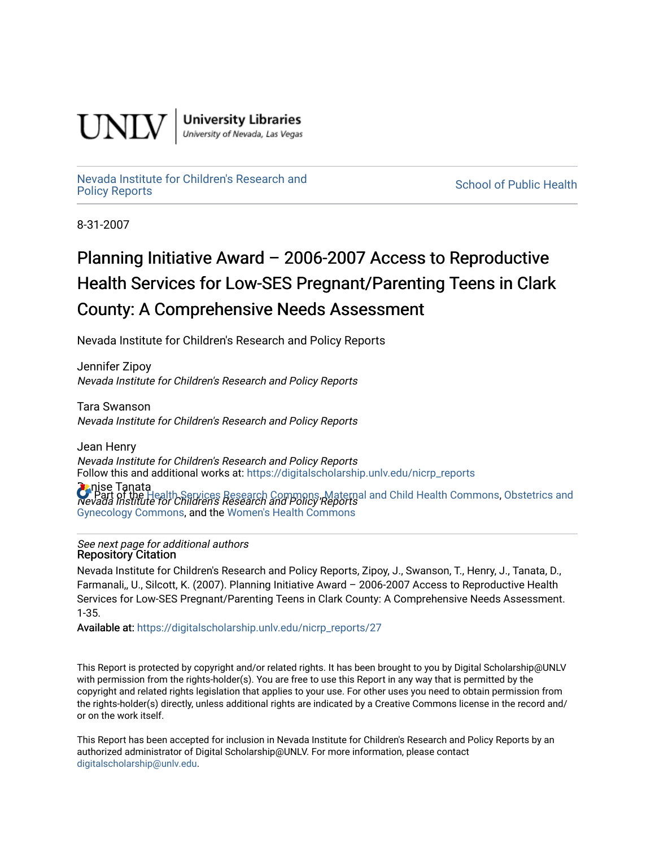

**University Libraries**<br>University of Nevada, Las Vegas

[Nevada Institute for Children's Research and](https://digitalscholarship.unlv.edu/nicrp_reports)

**School of Public Health** 

8-31-2007

# Planning Initiative Award – 2006-2007 Access to Reproductive Health Services for Low-SES Pregnant/Parenting Teens in Clark County: A Comprehensive Needs Assessment

Nevada Institute for Children's Research and Policy Reports

Jennifer Zipoy Nevada Institute for Children's Research and Policy Reports

Tara Swanson Nevada Institute for Children's Research and Policy Reports

Jean Henry Nevada Institute for Children's Research and Policy Reports Follow this and additional works at: [https://digitalscholarship.unlv.edu/nicrp\\_reports](https://digitalscholarship.unlv.edu/nicrp_reports?utm_source=digitalscholarship.unlv.edu%2Fnicrp_reports%2F27&utm_medium=PDF&utm_campaign=PDFCoverPages)

**Denise Tanata C** Part of the [Health Services Research Commons,](http://network.bepress.com/hgg/discipline/816?utm_source=digitalscholarship.unlv.edu%2Fnicrp_reports%2F27&utm_medium=PDF&utm_campaign=PDFCoverPages) [Maternal and Child Health Commons](http://network.bepress.com/hgg/discipline/745?utm_source=digitalscholarship.unlv.edu%2Fnicrp_reports%2F27&utm_medium=PDF&utm_campaign=PDFCoverPages), [Obstetrics and](http://network.bepress.com/hgg/discipline/693?utm_source=digitalscholarship.unlv.edu%2Fnicrp_reports%2F27&utm_medium=PDF&utm_campaign=PDFCoverPages)<br>Nevada Institute for Children's Research and Policy Reports [Gynecology Commons](http://network.bepress.com/hgg/discipline/693?utm_source=digitalscholarship.unlv.edu%2Fnicrp_reports%2F27&utm_medium=PDF&utm_campaign=PDFCoverPages), and the [Women's Health Commons](http://network.bepress.com/hgg/discipline/1241?utm_source=digitalscholarship.unlv.edu%2Fnicrp_reports%2F27&utm_medium=PDF&utm_campaign=PDFCoverPages) 

See next page for additional authors Repository Citation

Nevada Institute for Children's Research and Policy Reports, Zipoy, J., Swanson, T., Henry, J., Tanata, D., Farmanali,, U., Silcott, K. (2007). Planning Initiative Award – 2006-2007 Access to Reproductive Health Services for Low-SES Pregnant/Parenting Teens in Clark County: A Comprehensive Needs Assessment. 1-35.

Available at: [https://digitalscholarship.unlv.edu/nicrp\\_reports/27](https://digitalscholarship.unlv.edu/nicrp_reports/27) 

This Report is protected by copyright and/or related rights. It has been brought to you by Digital Scholarship@UNLV with permission from the rights-holder(s). You are free to use this Report in any way that is permitted by the copyright and related rights legislation that applies to your use. For other uses you need to obtain permission from the rights-holder(s) directly, unless additional rights are indicated by a Creative Commons license in the record and/ or on the work itself.

This Report has been accepted for inclusion in Nevada Institute for Children's Research and Policy Reports by an authorized administrator of Digital Scholarship@UNLV. For more information, please contact [digitalscholarship@unlv.edu](mailto:digitalscholarship@unlv.edu).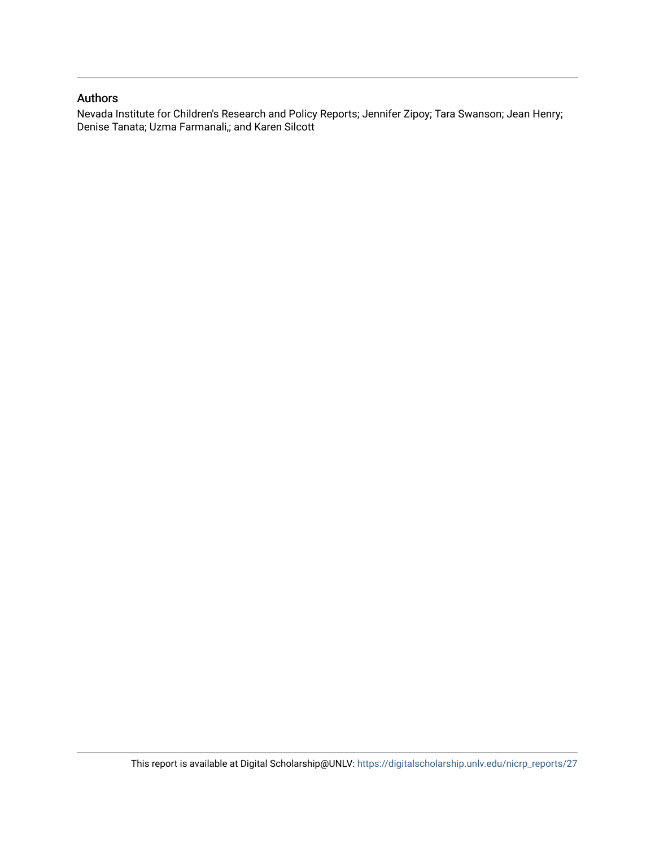#### Authors

Nevada Institute for Children's Research and Policy Reports; Jennifer Zipoy; Tara Swanson; Jean Henry; Denise Tanata; Uzma Farmanali,; and Karen Silcott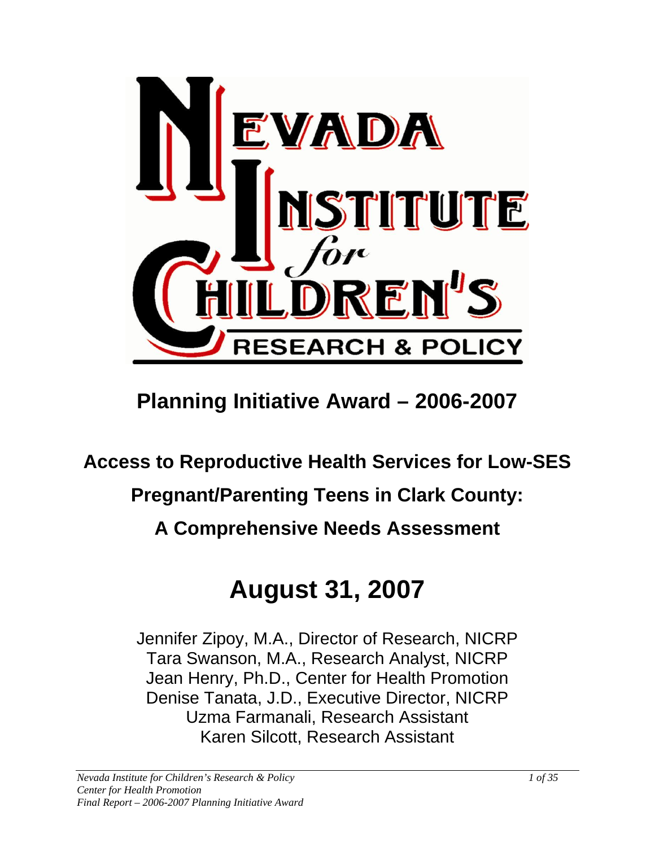

# **Planning Initiative Award – 2006-2007**

**Access to Reproductive Health Services for Low-SES** 

# **Pregnant/Parenting Teens in Clark County:**

# **A Comprehensive Needs Assessment**

# **August 31, 2007**

Jennifer Zipoy, M.A., Director of Research, NICRP Tara Swanson, M.A., Research Analyst, NICRP Jean Henry, Ph.D., Center for Health Promotion Denise Tanata, J.D., Executive Director, NICRP Uzma Farmanali, Research Assistant Karen Silcott, Research Assistant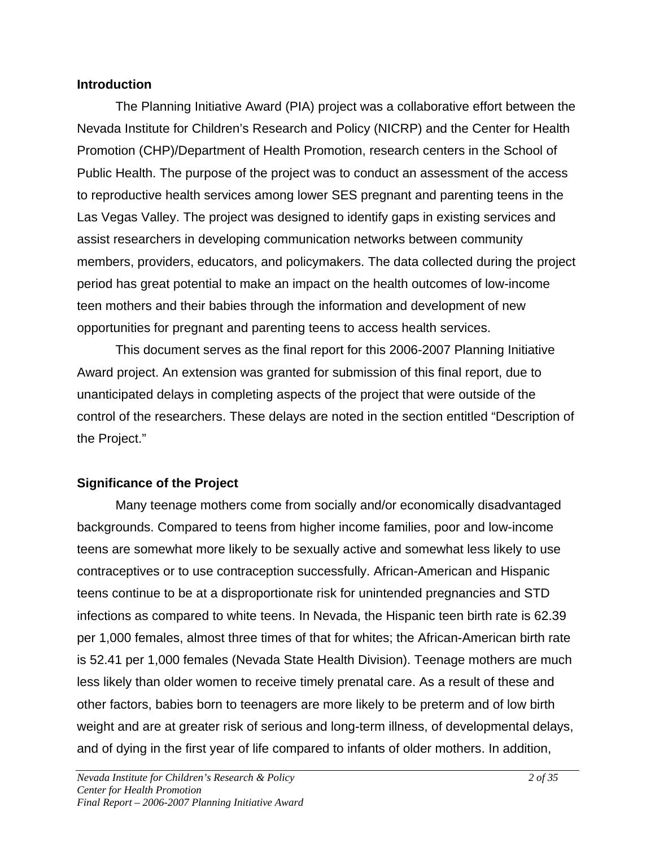#### **Introduction**

The Planning Initiative Award (PIA) project was a collaborative effort between the Nevada Institute for Children's Research and Policy (NICRP) and the Center for Health Promotion (CHP)/Department of Health Promotion, research centers in the School of Public Health. The purpose of the project was to conduct an assessment of the access to reproductive health services among lower SES pregnant and parenting teens in the Las Vegas Valley. The project was designed to identify gaps in existing services and assist researchers in developing communication networks between community members, providers, educators, and policymakers. The data collected during the project period has great potential to make an impact on the health outcomes of low-income teen mothers and their babies through the information and development of new opportunities for pregnant and parenting teens to access health services.

This document serves as the final report for this 2006-2007 Planning Initiative Award project. An extension was granted for submission of this final report, due to unanticipated delays in completing aspects of the project that were outside of the control of the researchers. These delays are noted in the section entitled "Description of the Project."

# **Significance of the Project**

Many teenage mothers come from socially and/or economically disadvantaged backgrounds. Compared to teens from higher income families, poor and low-income teens are somewhat more likely to be sexually active and somewhat less likely to use contraceptives or to use contraception successfully. African-American and Hispanic teens continue to be at a disproportionate risk for unintended pregnancies and STD infections as compared to white teens. In Nevada, the Hispanic teen birth rate is 62.39 per 1,000 females, almost three times of that for whites; the African-American birth rate is 52.41 per 1,000 females (Nevada State Health Division). Teenage mothers are much less likely than older women to receive timely prenatal care. As a result of these and other factors, babies born to teenagers are more likely to be preterm and of low birth weight and are at greater risk of serious and long-term illness, of developmental delays, and of dying in the first year of life compared to infants of older mothers. In addition,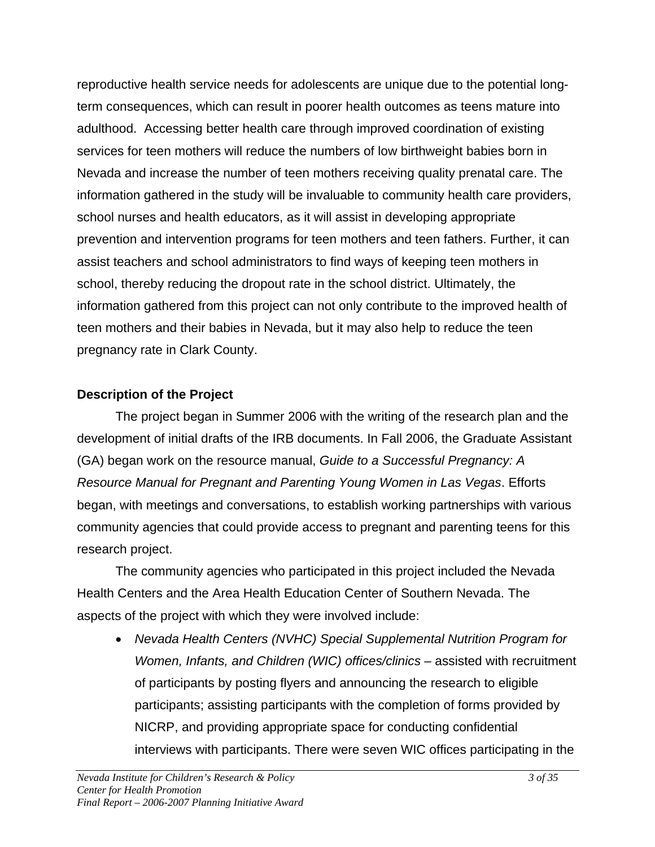reproductive health service needs for adolescents are unique due to the potential longterm consequences, which can result in poorer health outcomes as teens mature into adulthood. Accessing better health care through improved coordination of existing services for teen mothers will reduce the numbers of low birthweight babies born in Nevada and increase the number of teen mothers receiving quality prenatal care. The information gathered in the study will be invaluable to community health care providers, school nurses and health educators, as it will assist in developing appropriate prevention and intervention programs for teen mothers and teen fathers. Further, it can assist teachers and school administrators to find ways of keeping teen mothers in school, thereby reducing the dropout rate in the school district. Ultimately, the information gathered from this project can not only contribute to the improved health of teen mothers and their babies in Nevada, but it may also help to reduce the teen pregnancy rate in Clark County.

# **Description of the Project**

The project began in Summer 2006 with the writing of the research plan and the development of initial drafts of the IRB documents. In Fall 2006, the Graduate Assistant (GA) began work on the resource manual, *Guide to a Successful Pregnancy: A Resource Manual for Pregnant and Parenting Young Women in Las Vegas*. Efforts began, with meetings and conversations, to establish working partnerships with various community agencies that could provide access to pregnant and parenting teens for this research project.

The community agencies who participated in this project included the Nevada Health Centers and the Area Health Education Center of Southern Nevada. The aspects of the project with which they were involved include:

• *Nevada Health Centers (NVHC) Special Supplemental Nutrition Program for Women, Infants, and Children (WIC) offices/clinics* – assisted with recruitment of participants by posting flyers and announcing the research to eligible participants; assisting participants with the completion of forms provided by NICRP, and providing appropriate space for conducting confidential interviews with participants. There were seven WIC offices participating in the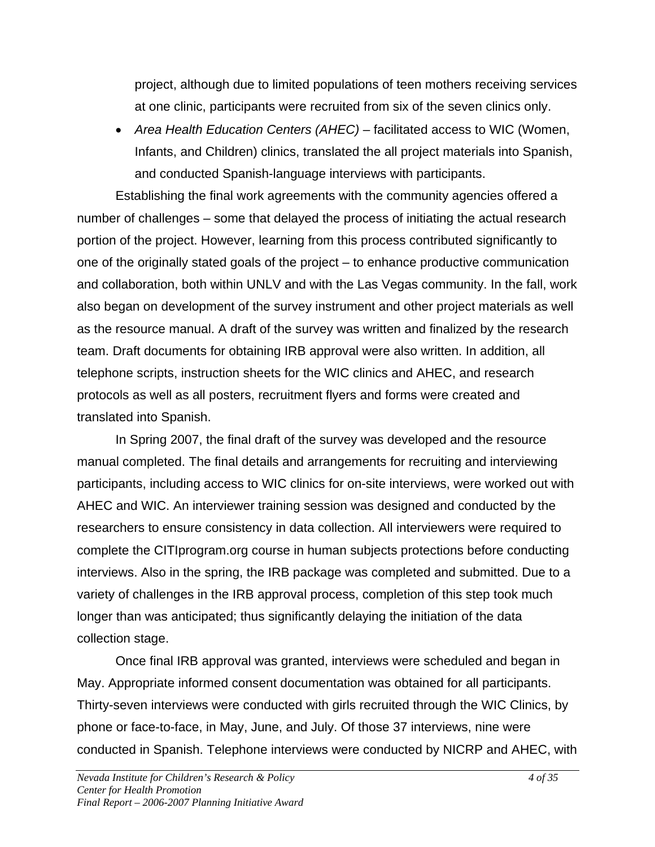project, although due to limited populations of teen mothers receiving services at one clinic, participants were recruited from six of the seven clinics only.

• *Area Health Education Centers (AHEC)* – facilitated access to WIC (Women, Infants, and Children) clinics, translated the all project materials into Spanish, and conducted Spanish-language interviews with participants.

Establishing the final work agreements with the community agencies offered a number of challenges – some that delayed the process of initiating the actual research portion of the project. However, learning from this process contributed significantly to one of the originally stated goals of the project – to enhance productive communication and collaboration, both within UNLV and with the Las Vegas community. In the fall, work also began on development of the survey instrument and other project materials as well as the resource manual. A draft of the survey was written and finalized by the research team. Draft documents for obtaining IRB approval were also written. In addition, all telephone scripts, instruction sheets for the WIC clinics and AHEC, and research protocols as well as all posters, recruitment flyers and forms were created and translated into Spanish.

In Spring 2007, the final draft of the survey was developed and the resource manual completed. The final details and arrangements for recruiting and interviewing participants, including access to WIC clinics for on-site interviews, were worked out with AHEC and WIC. An interviewer training session was designed and conducted by the researchers to ensure consistency in data collection. All interviewers were required to complete the CITIprogram.org course in human subjects protections before conducting interviews. Also in the spring, the IRB package was completed and submitted. Due to a variety of challenges in the IRB approval process, completion of this step took much longer than was anticipated; thus significantly delaying the initiation of the data collection stage.

Once final IRB approval was granted, interviews were scheduled and began in May. Appropriate informed consent documentation was obtained for all participants. Thirty-seven interviews were conducted with girls recruited through the WIC Clinics, by phone or face-to-face, in May, June, and July. Of those 37 interviews, nine were conducted in Spanish. Telephone interviews were conducted by NICRP and AHEC, with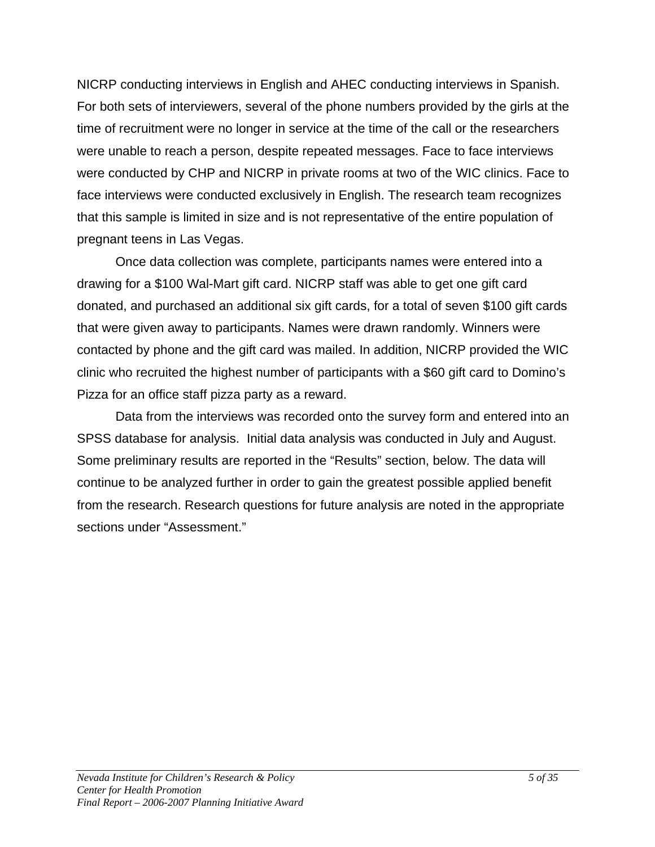NICRP conducting interviews in English and AHEC conducting interviews in Spanish. For both sets of interviewers, several of the phone numbers provided by the girls at the time of recruitment were no longer in service at the time of the call or the researchers were unable to reach a person, despite repeated messages. Face to face interviews were conducted by CHP and NICRP in private rooms at two of the WIC clinics. Face to face interviews were conducted exclusively in English. The research team recognizes that this sample is limited in size and is not representative of the entire population of pregnant teens in Las Vegas.

Once data collection was complete, participants names were entered into a drawing for a \$100 Wal-Mart gift card. NICRP staff was able to get one gift card donated, and purchased an additional six gift cards, for a total of seven \$100 gift cards that were given away to participants. Names were drawn randomly. Winners were contacted by phone and the gift card was mailed. In addition, NICRP provided the WIC clinic who recruited the highest number of participants with a \$60 gift card to Domino's Pizza for an office staff pizza party as a reward.

Data from the interviews was recorded onto the survey form and entered into an SPSS database for analysis. Initial data analysis was conducted in July and August. Some preliminary results are reported in the "Results" section, below. The data will continue to be analyzed further in order to gain the greatest possible applied benefit from the research. Research questions for future analysis are noted in the appropriate sections under "Assessment."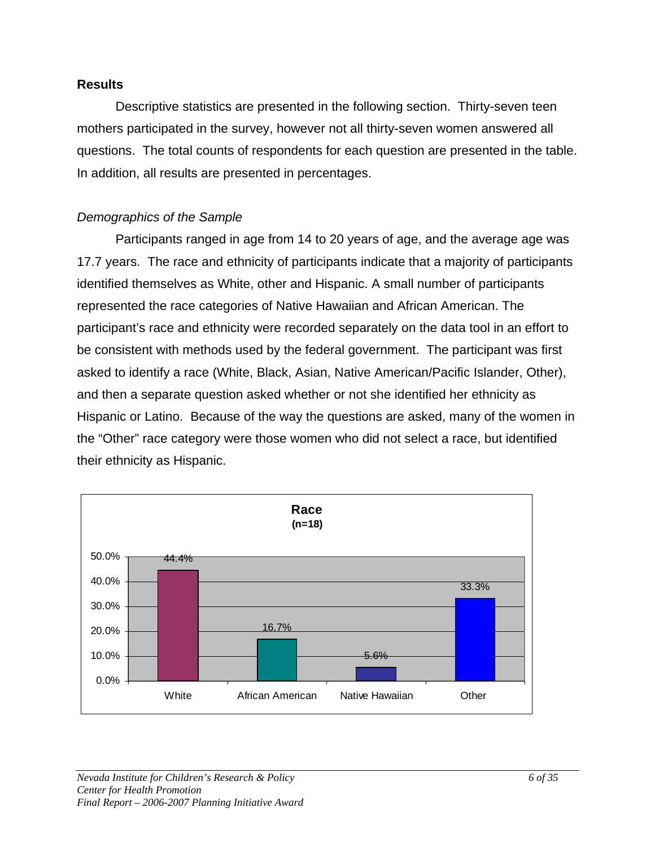#### **Results**

Descriptive statistics are presented in the following section. Thirty-seven teen mothers participated in the survey, however not all thirty-seven women answered all questions. The total counts of respondents for each question are presented in the table. In addition, all results are presented in percentages.

# *Demographics of the Sample*

Participants ranged in age from 14 to 20 years of age, and the average age was 17.7 years. The race and ethnicity of participants indicate that a majority of participants identified themselves as White, other and Hispanic. A small number of participants represented the race categories of Native Hawaiian and African American. The participant's race and ethnicity were recorded separately on the data tool in an effort to be consistent with methods used by the federal government. The participant was first asked to identify a race (White, Black, Asian, Native American/Pacific Islander, Other), and then a separate question asked whether or not she identified her ethnicity as Hispanic or Latino. Because of the way the questions are asked, many of the women in the "Other" race category were those women who did not select a race, but identified their ethnicity as Hispanic.

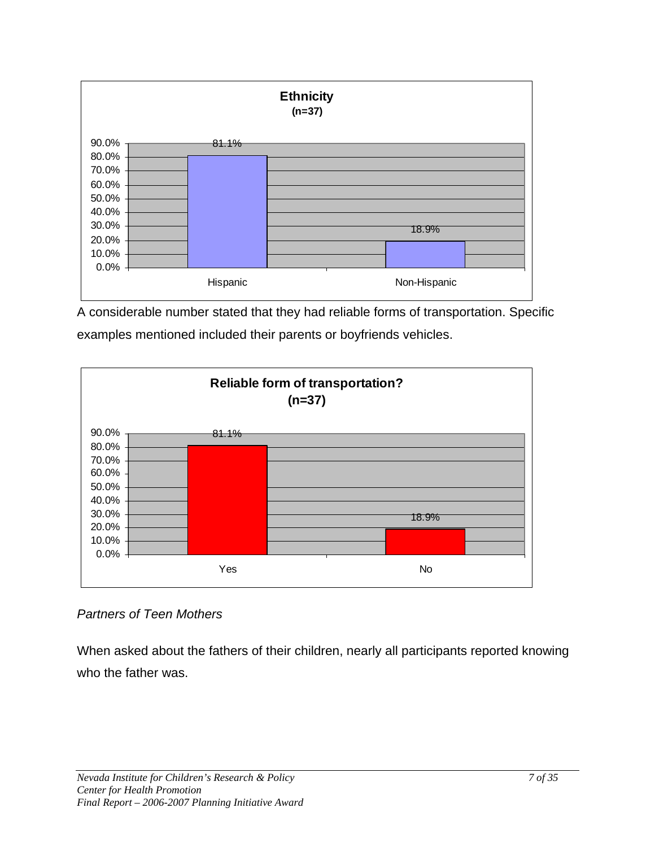

A considerable number stated that they had reliable forms of transportation. Specific examples mentioned included their parents or boyfriends vehicles.



*Partners of Teen Mothers* 

When asked about the fathers of their children, nearly all participants reported knowing who the father was.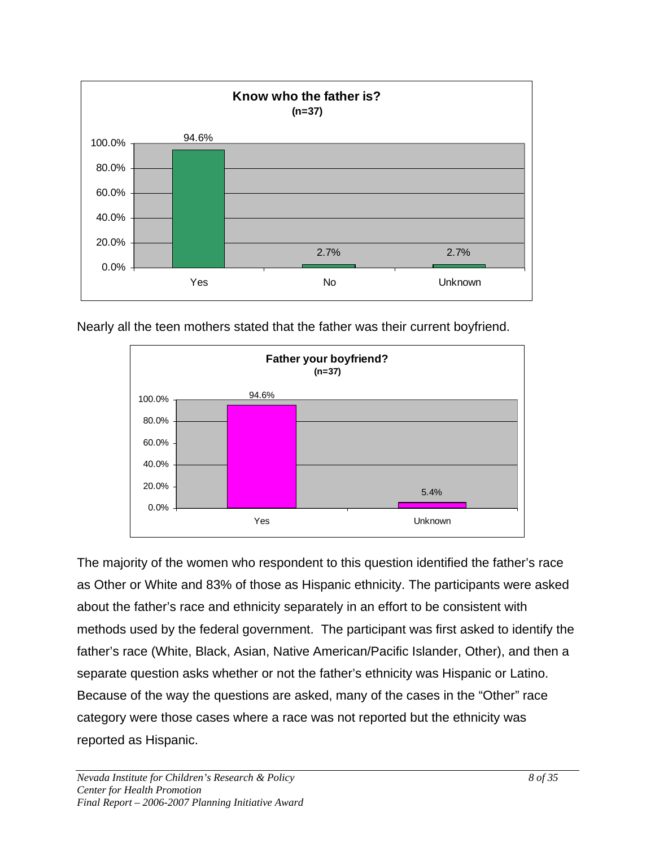

Nearly all the teen mothers stated that the father was their current boyfriend.



The majority of the women who respondent to this question identified the father's race as Other or White and 83% of those as Hispanic ethnicity. The participants were asked about the father's race and ethnicity separately in an effort to be consistent with methods used by the federal government. The participant was first asked to identify the father's race (White, Black, Asian, Native American/Pacific Islander, Other), and then a separate question asks whether or not the father's ethnicity was Hispanic or Latino. Because of the way the questions are asked, many of the cases in the "Other" race category were those cases where a race was not reported but the ethnicity was reported as Hispanic.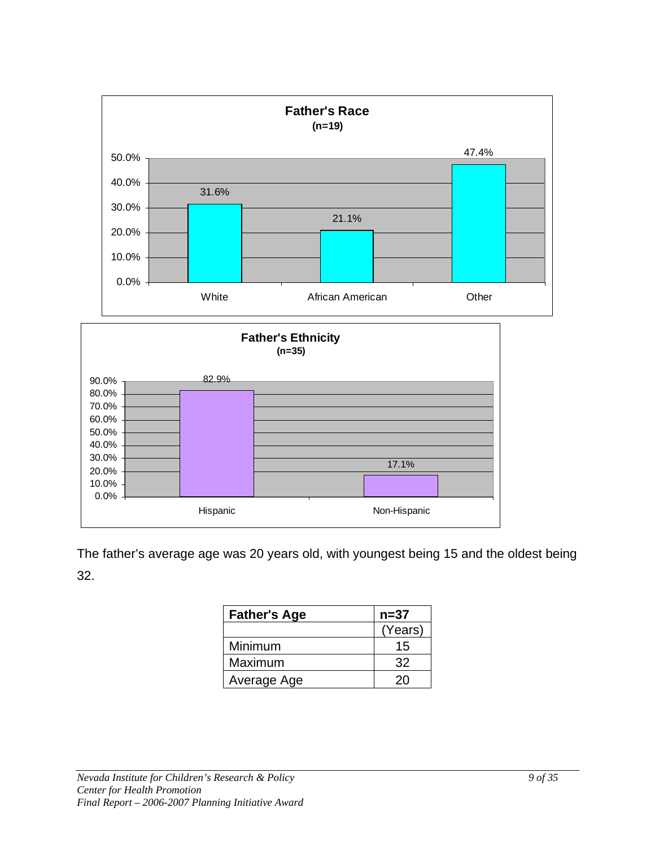

The father's average age was 20 years old, with youngest being 15 and the oldest being 32.

| <b>Father's Age</b> | $n = 37$ |
|---------------------|----------|
|                     | (Years)  |
| Minimum             | 15       |
| Maximum             | 32       |
| Average Age         | 20       |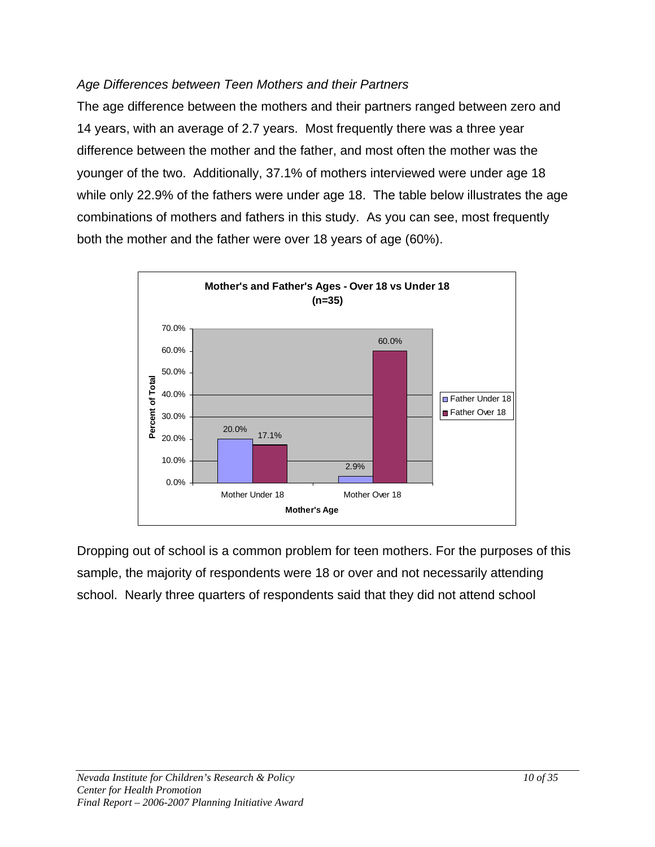#### *Age Differences between Teen Mothers and their Partners*

The age difference between the mothers and their partners ranged between zero and 14 years, with an average of 2.7 years. Most frequently there was a three year difference between the mother and the father, and most often the mother was the younger of the two. Additionally, 37.1% of mothers interviewed were under age 18 while only 22.9% of the fathers were under age 18. The table below illustrates the age combinations of mothers and fathers in this study. As you can see, most frequently both the mother and the father were over 18 years of age (60%).



Dropping out of school is a common problem for teen mothers. For the purposes of this sample, the majority of respondents were 18 or over and not necessarily attending school. Nearly three quarters of respondents said that they did not attend school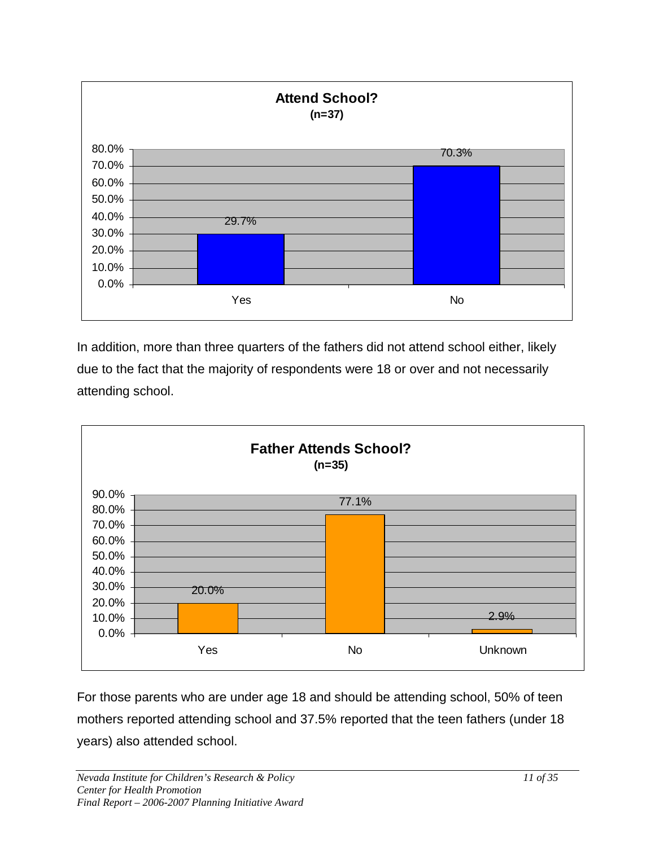

In addition, more than three quarters of the fathers did not attend school either, likely due to the fact that the majority of respondents were 18 or over and not necessarily attending school.



For those parents who are under age 18 and should be attending school, 50% of teen mothers reported attending school and 37.5% reported that the teen fathers (under 18 years) also attended school.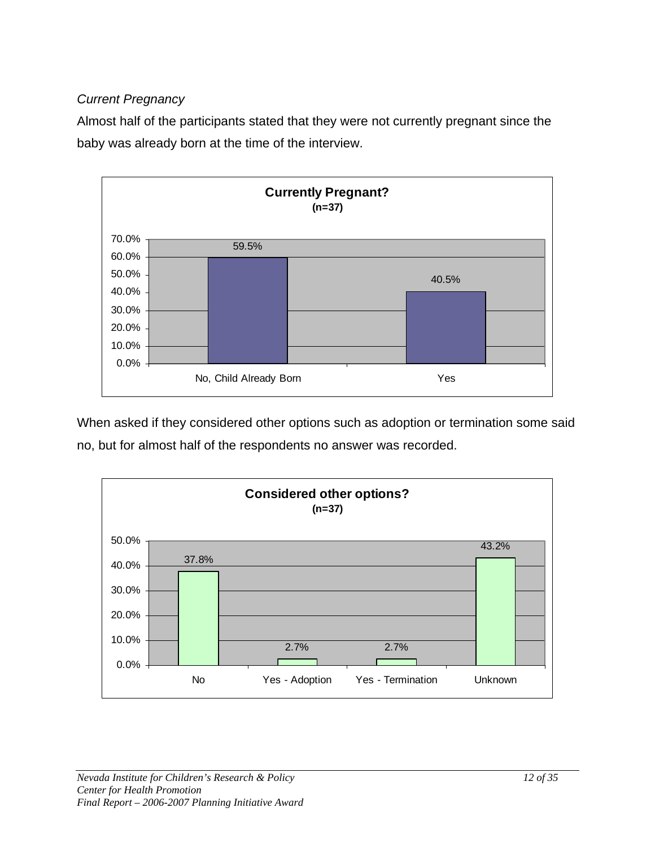# *Current Pregnancy*

Almost half of the participants stated that they were not currently pregnant since the baby was already born at the time of the interview.



When asked if they considered other options such as adoption or termination some said no, but for almost half of the respondents no answer was recorded.

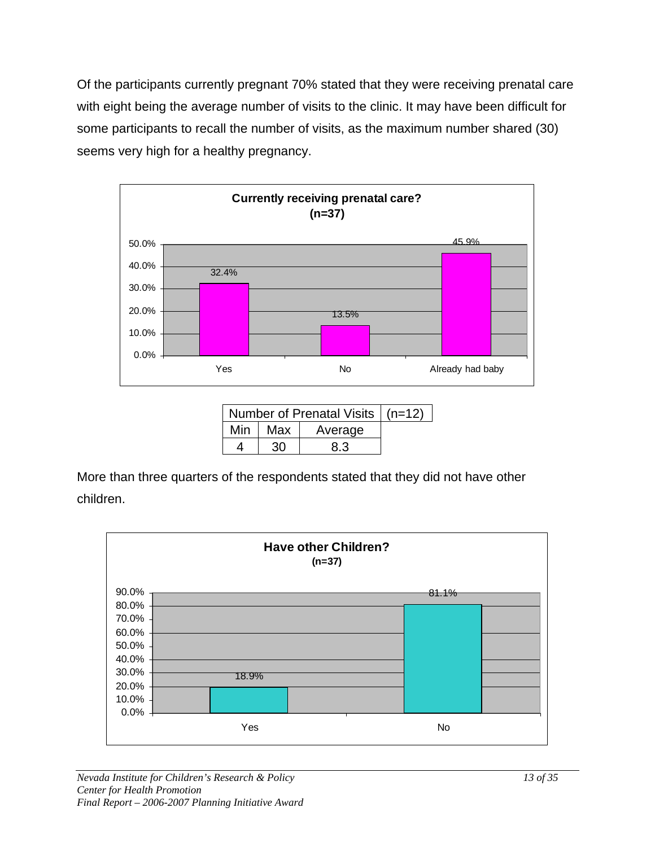Of the participants currently pregnant 70% stated that they were receiving prenatal care with eight being the average number of visits to the clinic. It may have been difficult for some participants to recall the number of visits, as the maximum number shared (30) seems very high for a healthy pregnancy.



|     | Number of Prenatal Visits   (n=12) |         |  |
|-----|------------------------------------|---------|--|
| Min | Max                                | Average |  |
|     | 30                                 | 8.3     |  |

More than three quarters of the respondents stated that they did not have other children.

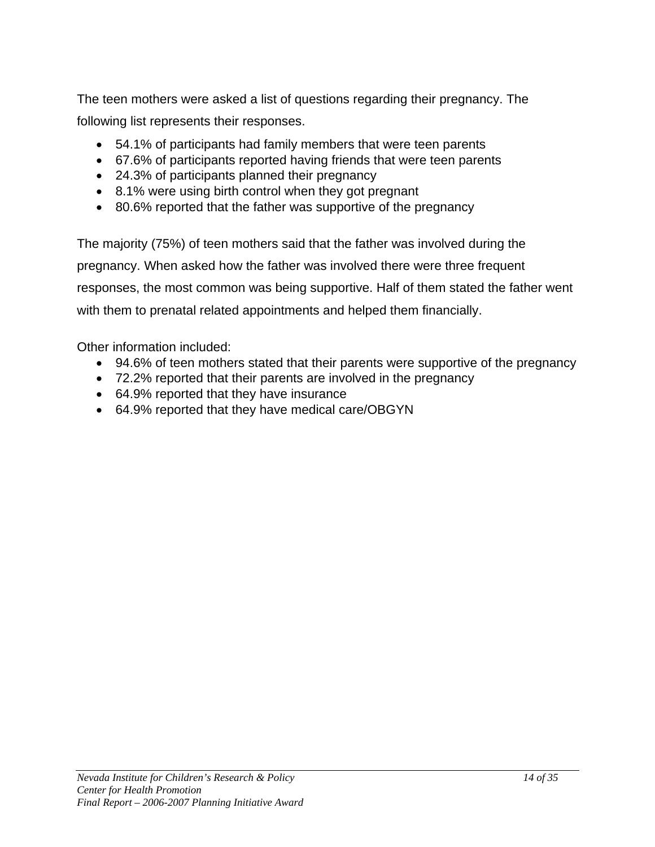The teen mothers were asked a list of questions regarding their pregnancy. The following list represents their responses.

- 54.1% of participants had family members that were teen parents
- 67.6% of participants reported having friends that were teen parents
- 24.3% of participants planned their pregnancy
- 8.1% were using birth control when they got pregnant
- 80.6% reported that the father was supportive of the pregnancy

The majority (75%) of teen mothers said that the father was involved during the pregnancy. When asked how the father was involved there were three frequent responses, the most common was being supportive. Half of them stated the father went with them to prenatal related appointments and helped them financially.

Other information included:

- 94.6% of teen mothers stated that their parents were supportive of the pregnancy
- 72.2% reported that their parents are involved in the pregnancy
- 64.9% reported that they have insurance
- 64.9% reported that they have medical care/OBGYN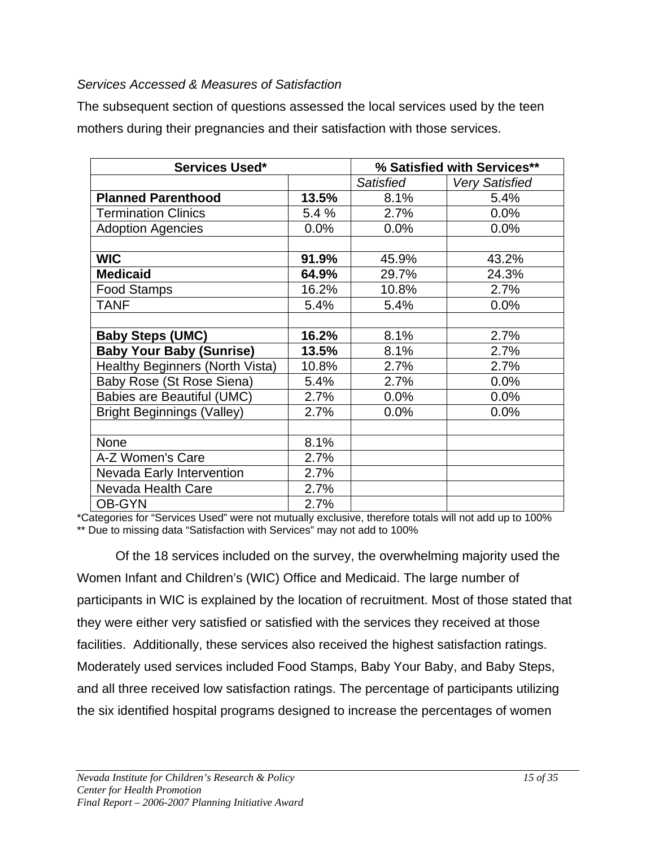#### *Services Accessed & Measures of Satisfaction*

The subsequent section of questions assessed the local services used by the teen mothers during their pregnancies and their satisfaction with those services.

| Services Used*                    |       | % Satisfied with Services** |                       |
|-----------------------------------|-------|-----------------------------|-----------------------|
|                                   |       | <b>Satisfied</b>            | <b>Very Satisfied</b> |
| <b>Planned Parenthood</b>         | 13.5% | 8.1%                        | 5.4%                  |
| <b>Termination Clinics</b>        | 5.4 % | 2.7%                        | 0.0%                  |
| <b>Adoption Agencies</b>          | 0.0%  | 0.0%                        | 0.0%                  |
|                                   |       |                             |                       |
| <b>WIC</b>                        | 91.9% | 45.9%                       | 43.2%                 |
| <b>Medicaid</b>                   | 64.9% | 29.7%                       | 24.3%                 |
| <b>Food Stamps</b>                | 16.2% | 10.8%                       | 2.7%                  |
| <b>TANF</b>                       | 5.4%  | 5.4%                        | 0.0%                  |
|                                   |       |                             |                       |
| <b>Baby Steps (UMC)</b>           | 16.2% | 8.1%                        | 2.7%                  |
| <b>Baby Your Baby (Sunrise)</b>   | 13.5% | 8.1%                        | 2.7%                  |
| Healthy Beginners (North Vista)   | 10.8% | 2.7%                        | 2.7%                  |
| Baby Rose (St Rose Siena)         | 5.4%  | 2.7%                        | 0.0%                  |
| Babies are Beautiful (UMC)        | 2.7%  | 0.0%                        | 0.0%                  |
| <b>Bright Beginnings (Valley)</b> | 2.7%  | 0.0%                        | 0.0%                  |
|                                   |       |                             |                       |
| None                              | 8.1%  |                             |                       |
| A-Z Women's Care                  | 2.7%  |                             |                       |
| <b>Nevada Early Intervention</b>  | 2.7%  |                             |                       |
| Nevada Health Care                | 2.7%  |                             |                       |
| <b>OB-GYN</b>                     | 2.7%  |                             |                       |

\*Categories for "Services Used" were not mutually exclusive, therefore totals will not add up to 100% \*\* Due to missing data "Satisfaction with Services" may not add to 100%

Of the 18 services included on the survey, the overwhelming majority used the Women Infant and Children's (WIC) Office and Medicaid. The large number of participants in WIC is explained by the location of recruitment. Most of those stated that they were either very satisfied or satisfied with the services they received at those facilities. Additionally, these services also received the highest satisfaction ratings. Moderately used services included Food Stamps, Baby Your Baby, and Baby Steps, and all three received low satisfaction ratings. The percentage of participants utilizing the six identified hospital programs designed to increase the percentages of women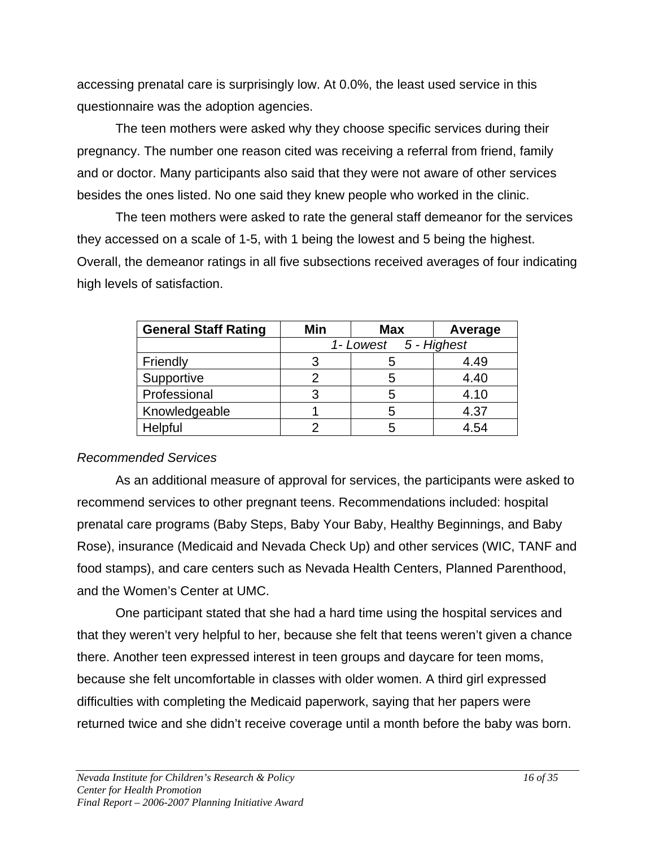accessing prenatal care is surprisingly low. At 0.0%, the least used service in this questionnaire was the adoption agencies.

The teen mothers were asked why they choose specific services during their pregnancy. The number one reason cited was receiving a referral from friend, family and or doctor. Many participants also said that they were not aware of other services besides the ones listed. No one said they knew people who worked in the clinic.

The teen mothers were asked to rate the general staff demeanor for the services they accessed on a scale of 1-5, with 1 being the lowest and 5 being the highest. Overall, the demeanor ratings in all five subsections received averages of four indicating high levels of satisfaction.

| <b>General Staff Rating</b> | Min | <b>Max</b>              | Average |
|-----------------------------|-----|-------------------------|---------|
|                             |     | 5 - Highest<br>1-Lowest |         |
| Friendly                    |     |                         | 4.49    |
| Supportive                  |     | 5                       | 4.40    |
| Professional                |     | 5                       | 4.10    |
| Knowledgeable               |     | 5                       | 4.37    |
| Helpful                     |     | b                       | 4.54    |

#### *Recommended Services*

As an additional measure of approval for services, the participants were asked to recommend services to other pregnant teens. Recommendations included: hospital prenatal care programs (Baby Steps, Baby Your Baby, Healthy Beginnings, and Baby Rose), insurance (Medicaid and Nevada Check Up) and other services (WIC, TANF and food stamps), and care centers such as Nevada Health Centers, Planned Parenthood, and the Women's Center at UMC.

One participant stated that she had a hard time using the hospital services and that they weren't very helpful to her, because she felt that teens weren't given a chance there. Another teen expressed interest in teen groups and daycare for teen moms, because she felt uncomfortable in classes with older women. A third girl expressed difficulties with completing the Medicaid paperwork, saying that her papers were returned twice and she didn't receive coverage until a month before the baby was born.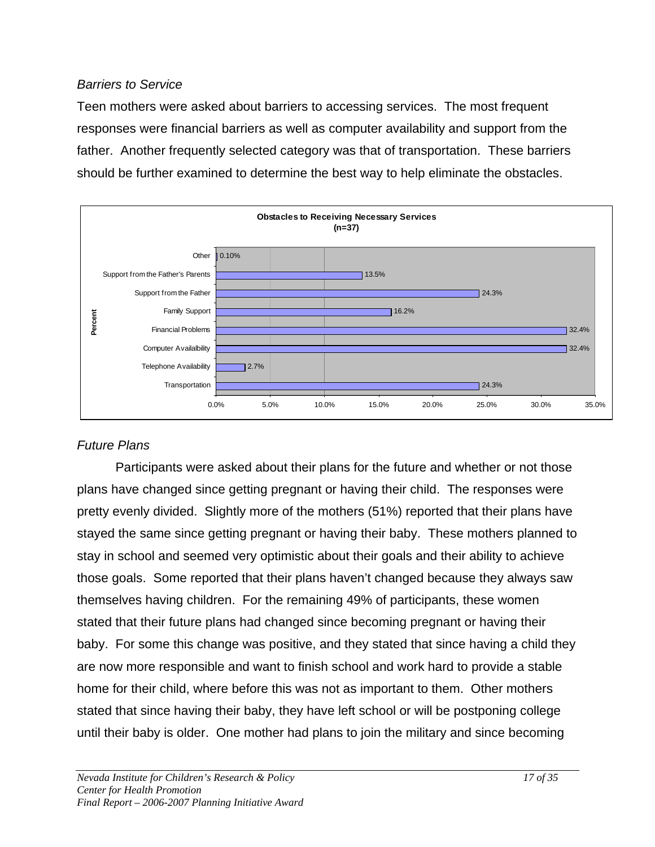### *Barriers to Service*

Teen mothers were asked about barriers to accessing services. The most frequent responses were financial barriers as well as computer availability and support from the father. Another frequently selected category was that of transportation. These barriers should be further examined to determine the best way to help eliminate the obstacles.



# *Future Plans*

 Participants were asked about their plans for the future and whether or not those plans have changed since getting pregnant or having their child. The responses were pretty evenly divided. Slightly more of the mothers (51%) reported that their plans have stayed the same since getting pregnant or having their baby. These mothers planned to stay in school and seemed very optimistic about their goals and their ability to achieve those goals. Some reported that their plans haven't changed because they always saw themselves having children. For the remaining 49% of participants, these women stated that their future plans had changed since becoming pregnant or having their baby. For some this change was positive, and they stated that since having a child they are now more responsible and want to finish school and work hard to provide a stable home for their child, where before this was not as important to them. Other mothers stated that since having their baby, they have left school or will be postponing college until their baby is older. One mother had plans to join the military and since becoming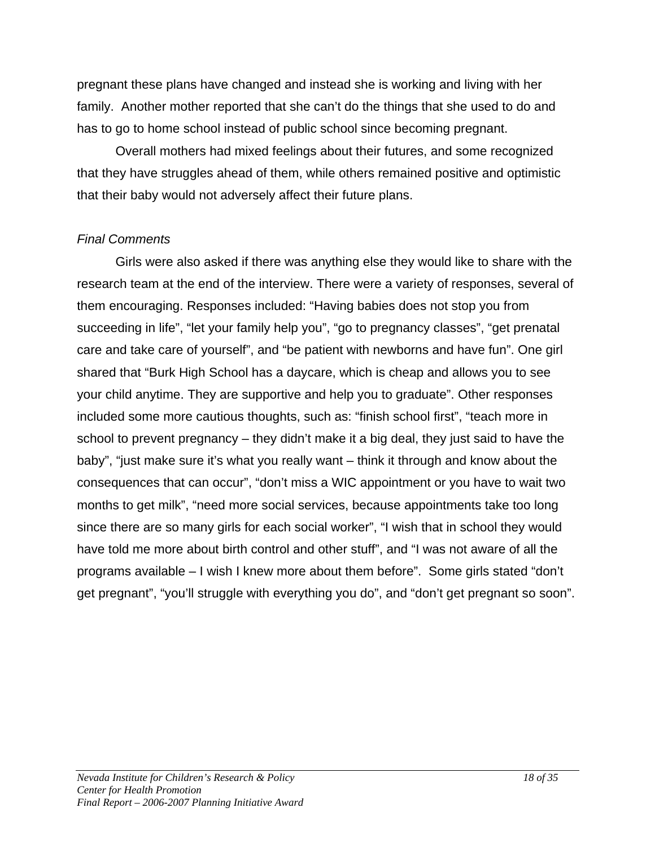pregnant these plans have changed and instead she is working and living with her family. Another mother reported that she can't do the things that she used to do and has to go to home school instead of public school since becoming pregnant.

Overall mothers had mixed feelings about their futures, and some recognized that they have struggles ahead of them, while others remained positive and optimistic that their baby would not adversely affect their future plans.

### *Final Comments*

Girls were also asked if there was anything else they would like to share with the research team at the end of the interview. There were a variety of responses, several of them encouraging. Responses included: "Having babies does not stop you from succeeding in life", "let your family help you", "go to pregnancy classes", "get prenatal care and take care of yourself", and "be patient with newborns and have fun". One girl shared that "Burk High School has a daycare, which is cheap and allows you to see your child anytime. They are supportive and help you to graduate". Other responses included some more cautious thoughts, such as: "finish school first", "teach more in school to prevent pregnancy – they didn't make it a big deal, they just said to have the baby", "just make sure it's what you really want – think it through and know about the consequences that can occur", "don't miss a WIC appointment or you have to wait two months to get milk", "need more social services, because appointments take too long since there are so many girls for each social worker", "I wish that in school they would have told me more about birth control and other stuff", and "I was not aware of all the programs available – I wish I knew more about them before". Some girls stated "don't get pregnant", "you'll struggle with everything you do", and "don't get pregnant so soon".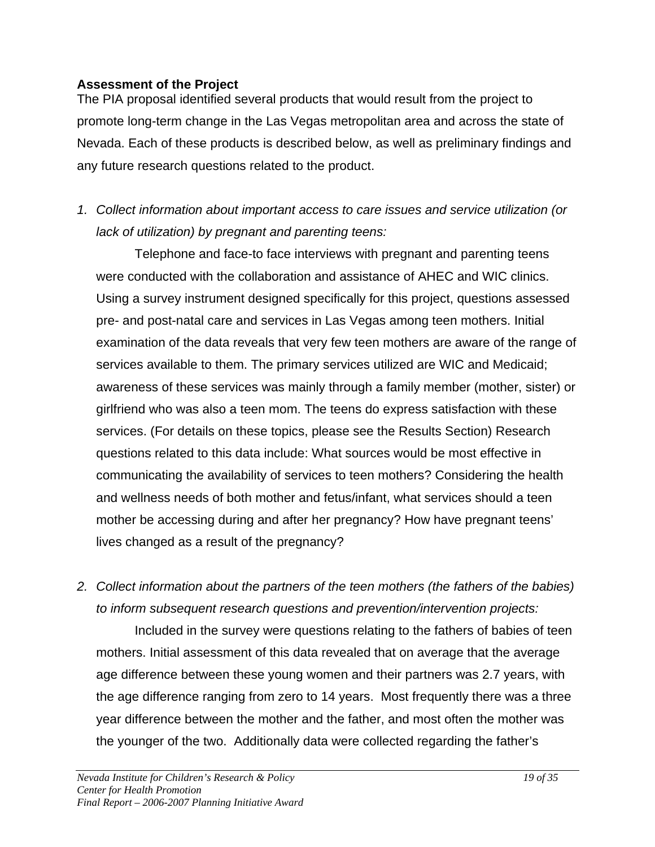### **Assessment of the Project**

The PIA proposal identified several products that would result from the project to promote long-term change in the Las Vegas metropolitan area and across the state of Nevada. Each of these products is described below, as well as preliminary findings and any future research questions related to the product.

*1. Collect information about important access to care issues and service utilization (or lack of utilization) by pregnant and parenting teens:* 

Telephone and face-to face interviews with pregnant and parenting teens were conducted with the collaboration and assistance of AHEC and WIC clinics. Using a survey instrument designed specifically for this project, questions assessed pre- and post-natal care and services in Las Vegas among teen mothers. Initial examination of the data reveals that very few teen mothers are aware of the range of services available to them. The primary services utilized are WIC and Medicaid; awareness of these services was mainly through a family member (mother, sister) or girlfriend who was also a teen mom. The teens do express satisfaction with these services. (For details on these topics, please see the Results Section) Research questions related to this data include: What sources would be most effective in communicating the availability of services to teen mothers? Considering the health and wellness needs of both mother and fetus/infant, what services should a teen mother be accessing during and after her pregnancy? How have pregnant teens' lives changed as a result of the pregnancy?

*2. Collect information about the partners of the teen mothers (the fathers of the babies) to inform subsequent research questions and prevention/intervention projects:* 

Included in the survey were questions relating to the fathers of babies of teen mothers. Initial assessment of this data revealed that on average that the average age difference between these young women and their partners was 2.7 years, with the age difference ranging from zero to 14 years. Most frequently there was a three year difference between the mother and the father, and most often the mother was the younger of the two. Additionally data were collected regarding the father's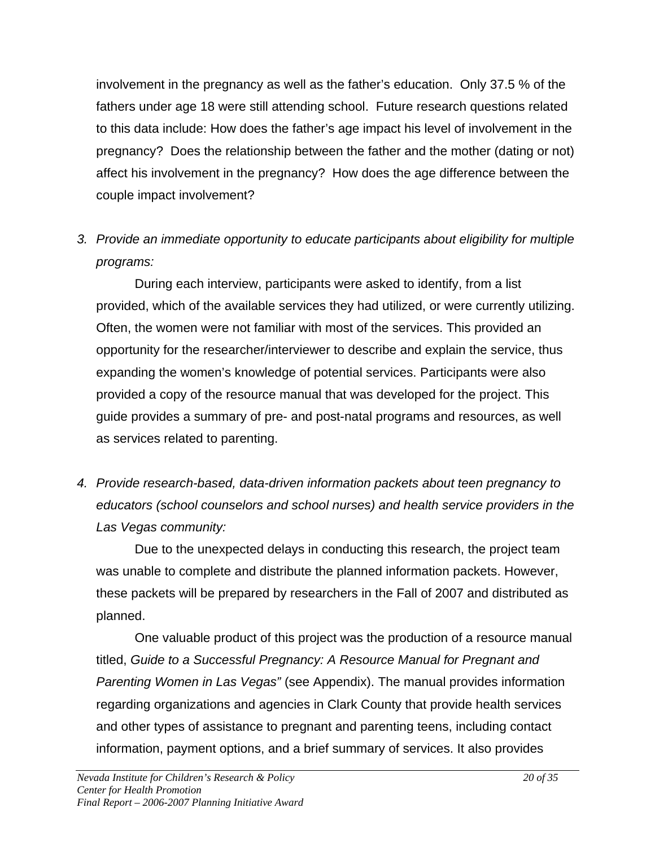involvement in the pregnancy as well as the father's education. Only 37.5 % of the fathers under age 18 were still attending school. Future research questions related to this data include: How does the father's age impact his level of involvement in the pregnancy? Does the relationship between the father and the mother (dating or not) affect his involvement in the pregnancy? How does the age difference between the couple impact involvement?

*3. Provide an immediate opportunity to educate participants about eligibility for multiple programs:* 

During each interview, participants were asked to identify, from a list provided, which of the available services they had utilized, or were currently utilizing. Often, the women were not familiar with most of the services. This provided an opportunity for the researcher/interviewer to describe and explain the service, thus expanding the women's knowledge of potential services. Participants were also provided a copy of the resource manual that was developed for the project. This guide provides a summary of pre- and post-natal programs and resources, as well as services related to parenting.

*4. Provide research-based, data-driven information packets about teen pregnancy to educators (school counselors and school nurses) and health service providers in the Las Vegas community:* 

Due to the unexpected delays in conducting this research, the project team was unable to complete and distribute the planned information packets. However, these packets will be prepared by researchers in the Fall of 2007 and distributed as planned.

One valuable product of this project was the production of a resource manual titled, *Guide to a Successful Pregnancy: A Resource Manual for Pregnant and Parenting Women in Las Vegas"* (see Appendix). The manual provides information regarding organizations and agencies in Clark County that provide health services and other types of assistance to pregnant and parenting teens, including contact information, payment options, and a brief summary of services. It also provides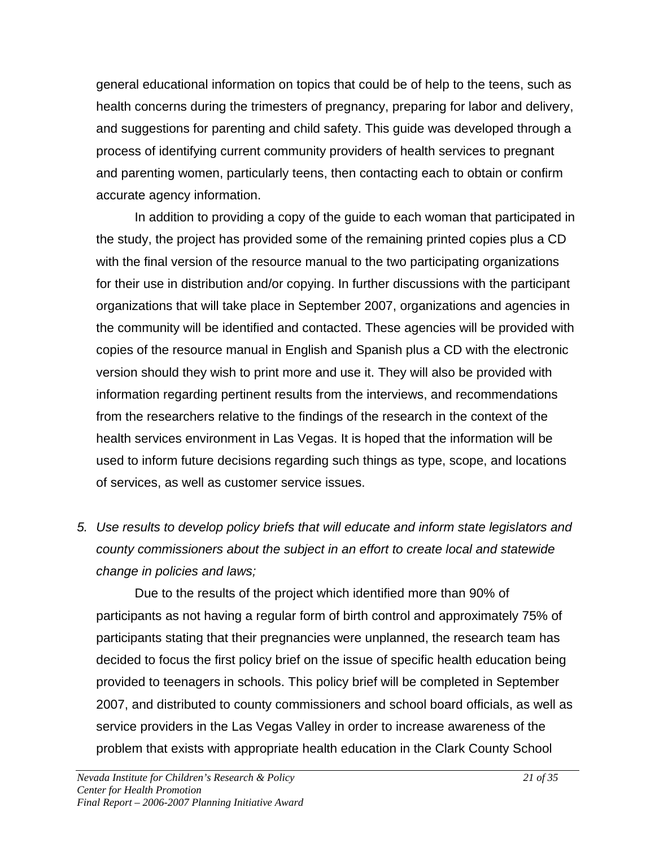general educational information on topics that could be of help to the teens, such as health concerns during the trimesters of pregnancy, preparing for labor and delivery, and suggestions for parenting and child safety. This guide was developed through a process of identifying current community providers of health services to pregnant and parenting women, particularly teens, then contacting each to obtain or confirm accurate agency information.

In addition to providing a copy of the guide to each woman that participated in the study, the project has provided some of the remaining printed copies plus a CD with the final version of the resource manual to the two participating organizations for their use in distribution and/or copying. In further discussions with the participant organizations that will take place in September 2007, organizations and agencies in the community will be identified and contacted. These agencies will be provided with copies of the resource manual in English and Spanish plus a CD with the electronic version should they wish to print more and use it. They will also be provided with information regarding pertinent results from the interviews, and recommendations from the researchers relative to the findings of the research in the context of the health services environment in Las Vegas. It is hoped that the information will be used to inform future decisions regarding such things as type, scope, and locations of services, as well as customer service issues.

*5. Use results to develop policy briefs that will educate and inform state legislators and county commissioners about the subject in an effort to create local and statewide change in policies and laws;* 

Due to the results of the project which identified more than 90% of participants as not having a regular form of birth control and approximately 75% of participants stating that their pregnancies were unplanned, the research team has decided to focus the first policy brief on the issue of specific health education being provided to teenagers in schools. This policy brief will be completed in September 2007, and distributed to county commissioners and school board officials, as well as service providers in the Las Vegas Valley in order to increase awareness of the problem that exists with appropriate health education in the Clark County School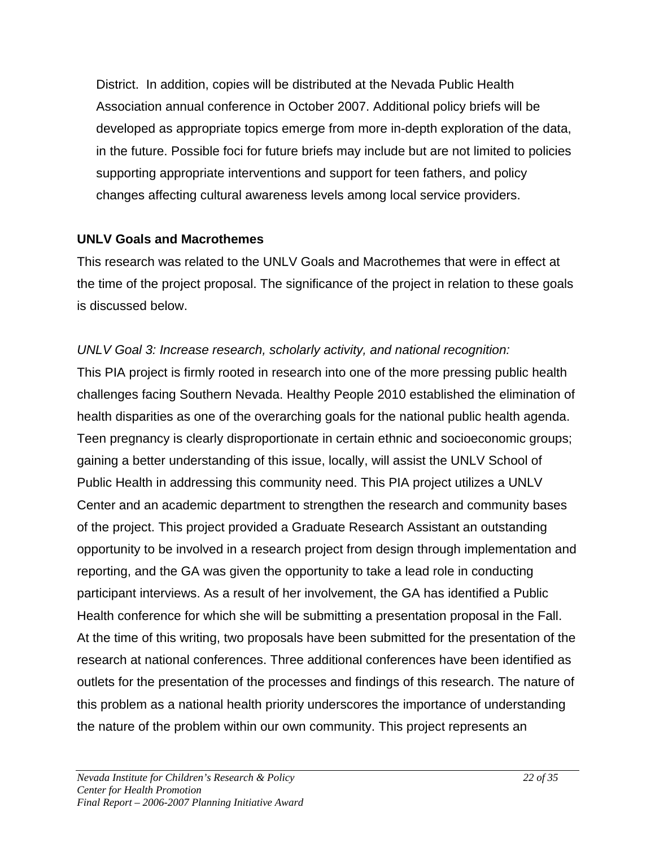District. In addition, copies will be distributed at the Nevada Public Health Association annual conference in October 2007. Additional policy briefs will be developed as appropriate topics emerge from more in-depth exploration of the data, in the future. Possible foci for future briefs may include but are not limited to policies supporting appropriate interventions and support for teen fathers, and policy changes affecting cultural awareness levels among local service providers.

# **UNLV Goals and Macrothemes**

This research was related to the UNLV Goals and Macrothemes that were in effect at the time of the project proposal. The significance of the project in relation to these goals is discussed below.

# *UNLV Goal 3: Increase research, scholarly activity, and national recognition:*

This PIA project is firmly rooted in research into one of the more pressing public health challenges facing Southern Nevada. Healthy People 2010 established the elimination of health disparities as one of the overarching goals for the national public health agenda. Teen pregnancy is clearly disproportionate in certain ethnic and socioeconomic groups; gaining a better understanding of this issue, locally, will assist the UNLV School of Public Health in addressing this community need. This PIA project utilizes a UNLV Center and an academic department to strengthen the research and community bases of the project. This project provided a Graduate Research Assistant an outstanding opportunity to be involved in a research project from design through implementation and reporting, and the GA was given the opportunity to take a lead role in conducting participant interviews. As a result of her involvement, the GA has identified a Public Health conference for which she will be submitting a presentation proposal in the Fall. At the time of this writing, two proposals have been submitted for the presentation of the research at national conferences. Three additional conferences have been identified as outlets for the presentation of the processes and findings of this research. The nature of this problem as a national health priority underscores the importance of understanding the nature of the problem within our own community. This project represents an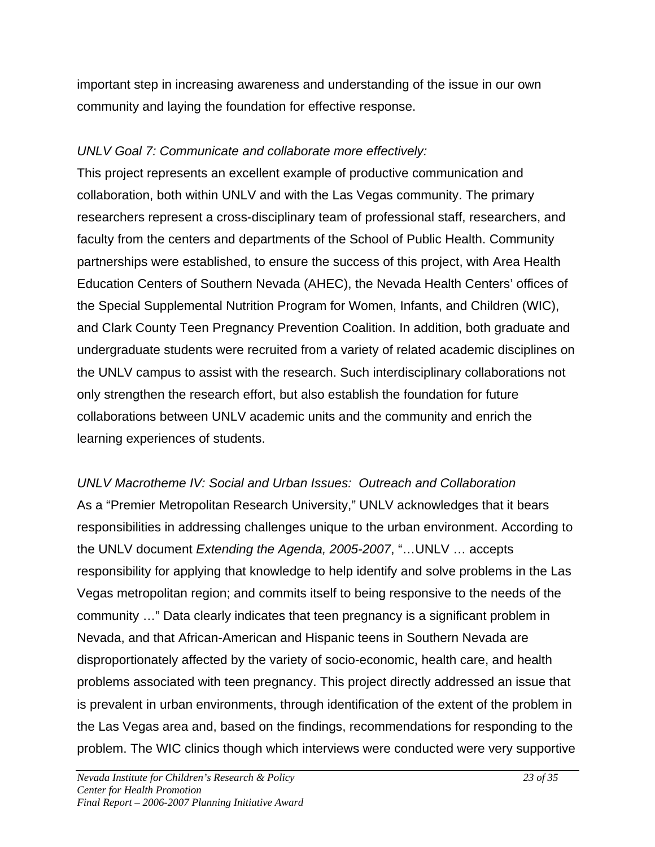important step in increasing awareness and understanding of the issue in our own community and laying the foundation for effective response.

# *UNLV Goal 7: Communicate and collaborate more effectively:*

This project represents an excellent example of productive communication and collaboration, both within UNLV and with the Las Vegas community. The primary researchers represent a cross-disciplinary team of professional staff, researchers, and faculty from the centers and departments of the School of Public Health. Community partnerships were established, to ensure the success of this project, with Area Health Education Centers of Southern Nevada (AHEC), the Nevada Health Centers' offices of the Special Supplemental Nutrition Program for Women, Infants, and Children (WIC), and Clark County Teen Pregnancy Prevention Coalition. In addition, both graduate and undergraduate students were recruited from a variety of related academic disciplines on the UNLV campus to assist with the research. Such interdisciplinary collaborations not only strengthen the research effort, but also establish the foundation for future collaborations between UNLV academic units and the community and enrich the learning experiences of students.

*UNLV Macrotheme IV: Social and Urban Issues: Outreach and Collaboration*  As a "Premier Metropolitan Research University," UNLV acknowledges that it bears responsibilities in addressing challenges unique to the urban environment. According to the UNLV document *Extending the Agenda, 2005-2007*, "…UNLV … accepts responsibility for applying that knowledge to help identify and solve problems in the Las Vegas metropolitan region; and commits itself to being responsive to the needs of the community …" Data clearly indicates that teen pregnancy is a significant problem in Nevada, and that African-American and Hispanic teens in Southern Nevada are disproportionately affected by the variety of socio-economic, health care, and health problems associated with teen pregnancy. This project directly addressed an issue that is prevalent in urban environments, through identification of the extent of the problem in the Las Vegas area and, based on the findings, recommendations for responding to the problem. The WIC clinics though which interviews were conducted were very supportive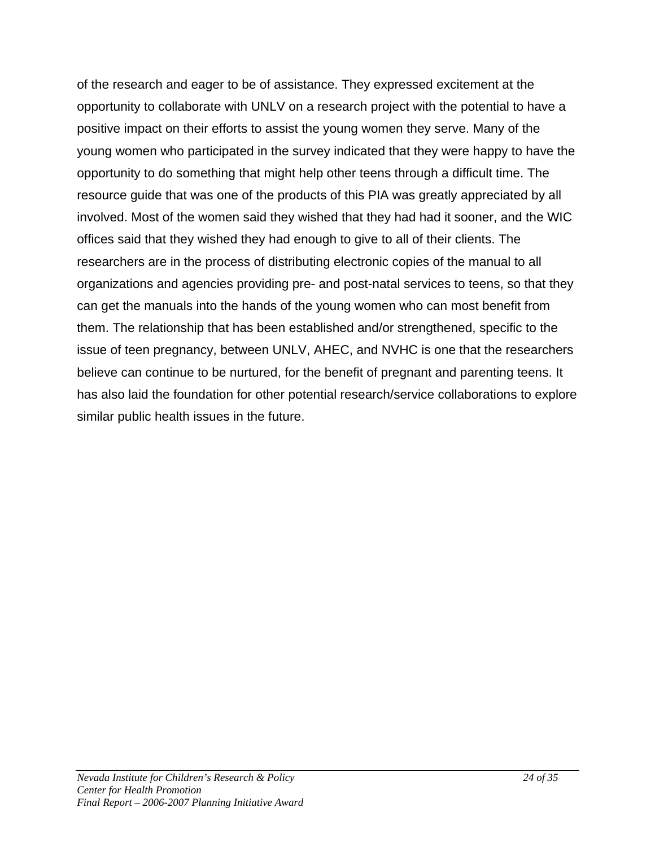of the research and eager to be of assistance. They expressed excitement at the opportunity to collaborate with UNLV on a research project with the potential to have a positive impact on their efforts to assist the young women they serve. Many of the young women who participated in the survey indicated that they were happy to have the opportunity to do something that might help other teens through a difficult time. The resource guide that was one of the products of this PIA was greatly appreciated by all involved. Most of the women said they wished that they had had it sooner, and the WIC offices said that they wished they had enough to give to all of their clients. The researchers are in the process of distributing electronic copies of the manual to all organizations and agencies providing pre- and post-natal services to teens, so that they can get the manuals into the hands of the young women who can most benefit from them. The relationship that has been established and/or strengthened, specific to the issue of teen pregnancy, between UNLV, AHEC, and NVHC is one that the researchers believe can continue to be nurtured, for the benefit of pregnant and parenting teens. It has also laid the foundation for other potential research/service collaborations to explore similar public health issues in the future.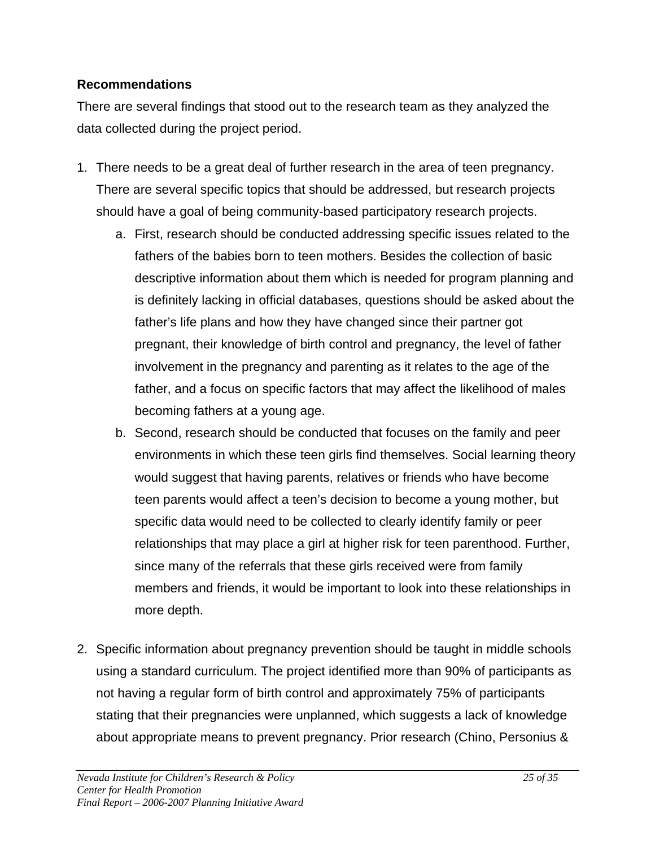# **Recommendations**

There are several findings that stood out to the research team as they analyzed the data collected during the project period.

- 1. There needs to be a great deal of further research in the area of teen pregnancy. There are several specific topics that should be addressed, but research projects should have a goal of being community-based participatory research projects.
	- a. First, research should be conducted addressing specific issues related to the fathers of the babies born to teen mothers. Besides the collection of basic descriptive information about them which is needed for program planning and is definitely lacking in official databases, questions should be asked about the father's life plans and how they have changed since their partner got pregnant, their knowledge of birth control and pregnancy, the level of father involvement in the pregnancy and parenting as it relates to the age of the father, and a focus on specific factors that may affect the likelihood of males becoming fathers at a young age.
	- b. Second, research should be conducted that focuses on the family and peer environments in which these teen girls find themselves. Social learning theory would suggest that having parents, relatives or friends who have become teen parents would affect a teen's decision to become a young mother, but specific data would need to be collected to clearly identify family or peer relationships that may place a girl at higher risk for teen parenthood. Further, since many of the referrals that these girls received were from family members and friends, it would be important to look into these relationships in more depth.
- 2. Specific information about pregnancy prevention should be taught in middle schools using a standard curriculum. The project identified more than 90% of participants as not having a regular form of birth control and approximately 75% of participants stating that their pregnancies were unplanned, which suggests a lack of knowledge about appropriate means to prevent pregnancy. Prior research (Chino, Personius &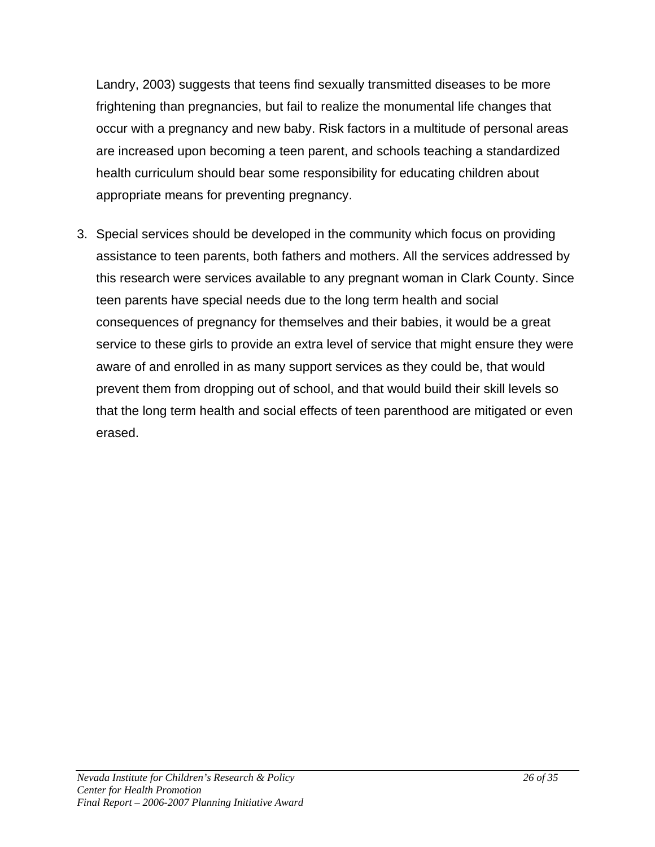Landry, 2003) suggests that teens find sexually transmitted diseases to be more frightening than pregnancies, but fail to realize the monumental life changes that occur with a pregnancy and new baby. Risk factors in a multitude of personal areas are increased upon becoming a teen parent, and schools teaching a standardized health curriculum should bear some responsibility for educating children about appropriate means for preventing pregnancy.

3. Special services should be developed in the community which focus on providing assistance to teen parents, both fathers and mothers. All the services addressed by this research were services available to any pregnant woman in Clark County. Since teen parents have special needs due to the long term health and social consequences of pregnancy for themselves and their babies, it would be a great service to these girls to provide an extra level of service that might ensure they were aware of and enrolled in as many support services as they could be, that would prevent them from dropping out of school, and that would build their skill levels so that the long term health and social effects of teen parenthood are mitigated or even erased.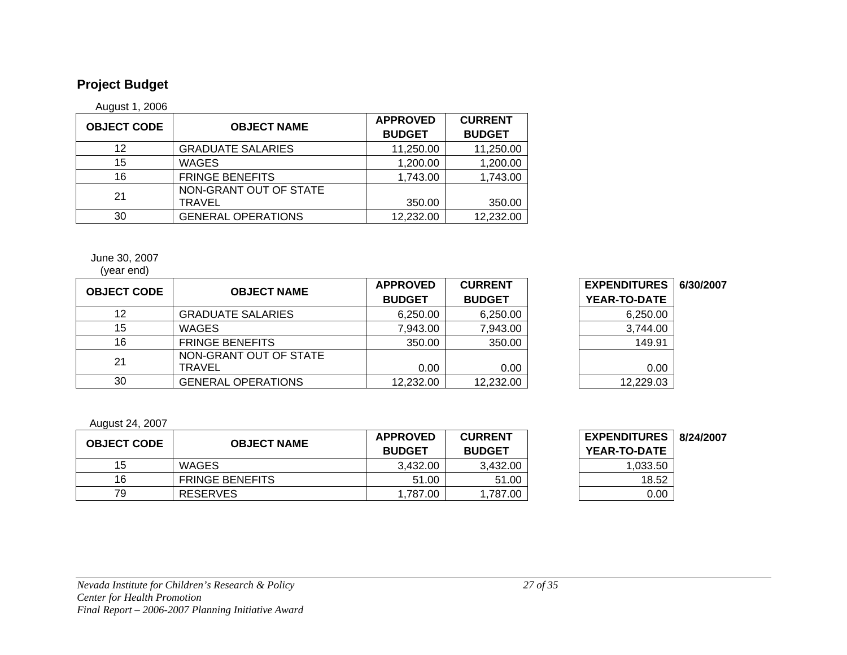# **Project Budget**

August 1, 2006

| <b>OBJECT CODE</b> | <b>OBJECT NAME</b>        | <b>APPROVED</b> | <b>CURRENT</b> |
|--------------------|---------------------------|-----------------|----------------|
|                    |                           | <b>BUDGET</b>   | <b>BUDGET</b>  |
| 12                 | <b>GRADUATE SALARIES</b>  | 11,250.00       | 11,250.00      |
| 15                 | <b>WAGES</b>              | 1,200.00        | 1,200.00       |
| 16                 | <b>FRINGE BENEFITS</b>    | 1,743.00        | 1,743.00       |
| 21                 | NON-GRANT OUT OF STATE    |                 |                |
|                    | TRAVEL                    | 350.00          | 350.00         |
| 30                 | <b>GENERAL OPERATIONS</b> | 12,232.00       | 12,232.00      |

#### June 30, 2007

#### (year end)

|                    | <b>OBJECT NAME</b>                      | <b>APPROVED</b> | <b>CURRENT</b> | <b>EXPENDITURES</b> | 6/30/2007 |
|--------------------|-----------------------------------------|-----------------|----------------|---------------------|-----------|
| <b>OBJECT CODE</b> |                                         | <b>BUDGET</b>   | <b>BUDGET</b>  | YEAR-TO-DATE        |           |
| 12                 | <b>GRADUATE SALARIES</b>                | 6,250.00        | 6,250.00       | 6,250.00            |           |
| 15                 | <b>WAGES</b>                            | 7,943.00        | 7,943.00       | 3,744.00            |           |
| 16                 | <b>FRINGE BENEFITS</b>                  | 350.00          | 350.00         | 149.91              |           |
| 21                 | NON-GRANT OUT OF STATE<br><b>TRAVEL</b> | 0.00            | 0.00           | 0.00                |           |
| 30                 | <b>GENERAL OPERATIONS</b>               | 12,232.00       | 12,232.00      | 12,229.03           |           |

| <b>EXPENDITURES</b> | 6/30/200 |
|---------------------|----------|
| YEAR-TO-DATE        |          |
| 6,250.00            |          |
| 3,744.00            |          |
| 149.91              |          |
|                     |          |
| 0.00                |          |
| 12,229.03           |          |

#### August 24, 2007

| <b>OBJECT CODE</b> | <b>OBJECT NAME</b>     | <b>APPROVED</b><br><b>BUDGET</b> | <b>CURRENT</b><br><b>BUDGET</b> | <b>EXPENDITURES</b><br><b>YEAR-TO-DATE</b> | 8/24/200 |
|--------------------|------------------------|----------------------------------|---------------------------------|--------------------------------------------|----------|
| 15                 | <b>WAGES</b>           | 3.432.00                         | 3,432.00                        | 1,033.50                                   |          |
| 16                 | <b>FRINGE BENEFITS</b> | 51.00                            | 51.00                           | 18.52                                      |          |
| 79                 | <b>RESERVES</b>        | 1.787.00                         | 1,787.00                        | 0.00                                       |          |

| <b>EXPENDITURES</b><br><b>YEAR-TO-DATE</b> | 8/24/2007 |
|--------------------------------------------|-----------|
| 1,033.50                                   |           |
| 18.52                                      |           |
| 0 OO                                       |           |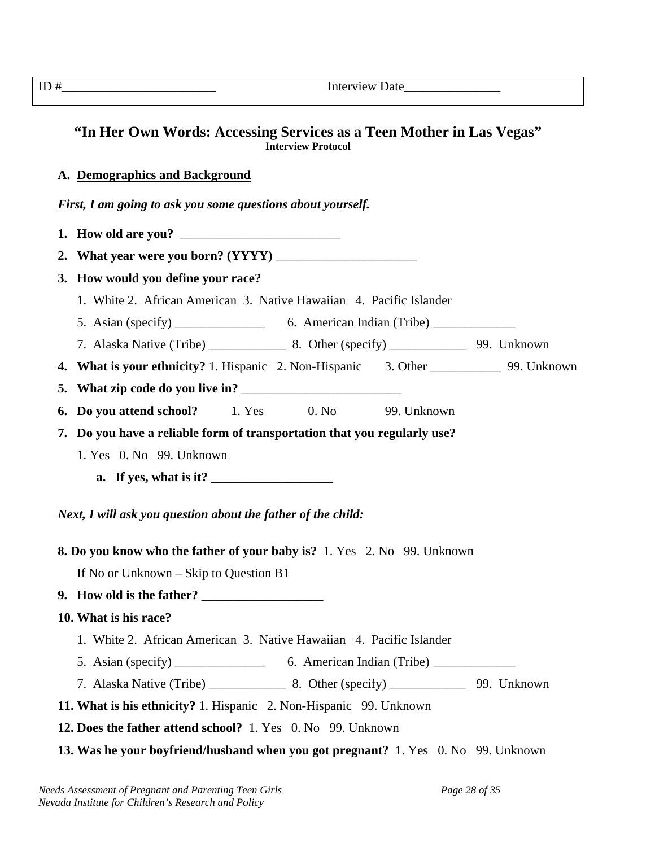|    | Interview Date                                                                                                                                                                                                                                                                                                                                                                                                |
|----|---------------------------------------------------------------------------------------------------------------------------------------------------------------------------------------------------------------------------------------------------------------------------------------------------------------------------------------------------------------------------------------------------------------|
|    | "In Her Own Words: Accessing Services as a Teen Mother in Las Vegas"<br><b>Interview Protocol</b>                                                                                                                                                                                                                                                                                                             |
|    | A. Demographics and Background                                                                                                                                                                                                                                                                                                                                                                                |
|    | First, I am going to ask you some questions about yourself.                                                                                                                                                                                                                                                                                                                                                   |
|    | 1. How old are you?                                                                                                                                                                                                                                                                                                                                                                                           |
|    |                                                                                                                                                                                                                                                                                                                                                                                                               |
|    | 3. How would you define your race?                                                                                                                                                                                                                                                                                                                                                                            |
|    | 1. White 2. African American 3. Native Hawaiian 4. Pacific Islander                                                                                                                                                                                                                                                                                                                                           |
|    |                                                                                                                                                                                                                                                                                                                                                                                                               |
|    |                                                                                                                                                                                                                                                                                                                                                                                                               |
| 4. | What is your ethnicity? 1. Hispanic 2. Non-Hispanic 3. Other _________________ 99. Unknown                                                                                                                                                                                                                                                                                                                    |
| 5. |                                                                                                                                                                                                                                                                                                                                                                                                               |
| 6. | <b>Do you attend school?</b> 1. Yes 0. No 99. Unknown                                                                                                                                                                                                                                                                                                                                                         |
|    | 7. Do you have a reliable form of transportation that you regularly use?                                                                                                                                                                                                                                                                                                                                      |
|    | 1. Yes 0. No 99. Unknown                                                                                                                                                                                                                                                                                                                                                                                      |
|    | a. If yes, what is it? $\frac{1}{\sqrt{1-\frac{1}{\sqrt{1-\frac{1}{\sqrt{1-\frac{1}{\sqrt{1-\frac{1}{\sqrt{1-\frac{1}{\sqrt{1-\frac{1}{\sqrt{1-\frac{1}{\sqrt{1-\frac{1}{\sqrt{1-\frac{1}{\sqrt{1-\frac{1}{\sqrt{1-\frac{1}{\sqrt{1-\frac{1}{\sqrt{1-\frac{1}{\sqrt{1-\frac{1}{\sqrt{1-\frac{1}{\sqrt{1-\frac{1}{\sqrt{1-\frac{1}{\sqrt{1-\frac{1}{\sqrt{1-\frac{1}{\sqrt{1-\frac{1}{\sqrt{1-\frac{1}{\sqrt{$ |
|    | Next, I will ask you question about the father of the child:                                                                                                                                                                                                                                                                                                                                                  |
|    | <b>8. Do you know who the father of your baby is?</b> 1. Yes 2. No 99. Unknown                                                                                                                                                                                                                                                                                                                                |
|    | If No or Unknown $-$ Skip to Question B1                                                                                                                                                                                                                                                                                                                                                                      |
|    |                                                                                                                                                                                                                                                                                                                                                                                                               |
|    | 10. What is his race?                                                                                                                                                                                                                                                                                                                                                                                         |
|    | 1. White 2. African American 3. Native Hawaiian 4. Pacific Islander                                                                                                                                                                                                                                                                                                                                           |
|    |                                                                                                                                                                                                                                                                                                                                                                                                               |
|    |                                                                                                                                                                                                                                                                                                                                                                                                               |
|    | 11. What is his ethnicity? 1. Hispanic 2. Non-Hispanic 99. Unknown                                                                                                                                                                                                                                                                                                                                            |
|    | 12. Does the father attend school? 1. Yes 0. No 99. Unknown                                                                                                                                                                                                                                                                                                                                                   |
|    | 13. Was he your boyfriend/husband when you got pregnant? 1. Yes 0. No 99. Unknown                                                                                                                                                                                                                                                                                                                             |
|    |                                                                                                                                                                                                                                                                                                                                                                                                               |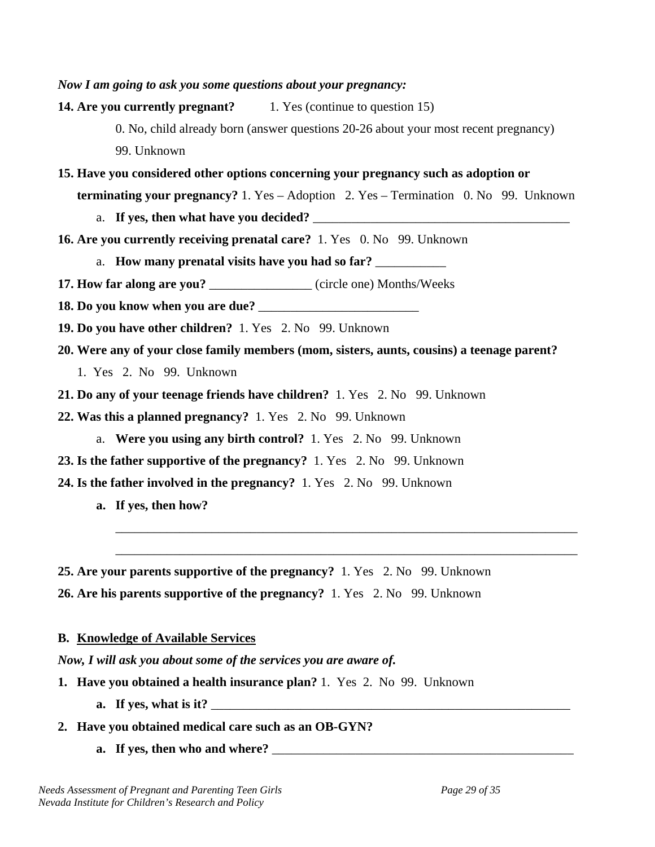*Now I am going to ask you some questions about your pregnancy:*  **14. Are you currently pregnant?** 1. Yes (continue to question 15) 0. No, child already born (answer questions 20-26 about your most recent pregnancy) 99. Unknown **15. Have you considered other options concerning your pregnancy such as adoption or terminating your pregnancy?** 1. Yes – Adoption 2. Yes – Termination 0. No 99. Unknown a. If yes, then what have you decided? **16. Are you currently receiving prenatal care?** 1. Yes 0. No 99. Unknown a. **How many prenatal visits have you had so far? 17. How far along are you?** (circle one) Months/Weeks **18. Do you know when you are due?** \_\_\_\_\_\_\_\_\_\_\_\_\_\_\_\_\_\_\_\_\_\_\_\_\_ **19. Do you have other children?** 1. Yes 2. No 99. Unknown **20. Were any of your close family members (mom, sisters, aunts, cousins) a teenage parent?** 1. Yes 2. No 99. Unknown **21. Do any of your teenage friends have children?** 1. Yes 2. No 99. Unknown **22. Was this a planned pregnancy?** 1. Yes 2. No 99. Unknown a. **Were you using any birth control?** 1. Yes 2. No 99. Unknown **23. Is the father supportive of the pregnancy?** 1. Yes 2. No 99. Unknown **24. Is the father involved in the pregnancy?** 1. Yes 2. No 99. Unknown **a. If yes, then how?**  \_\_\_\_\_\_\_\_\_\_\_\_\_\_\_\_\_\_\_\_\_\_\_\_\_\_\_\_\_\_\_\_\_\_\_\_\_\_\_\_\_\_\_\_\_\_\_\_\_\_\_\_\_\_\_\_\_\_\_\_\_\_\_\_\_\_\_\_\_\_\_\_ \_\_\_\_\_\_\_\_\_\_\_\_\_\_\_\_\_\_\_\_\_\_\_\_\_\_\_\_\_\_\_\_\_\_\_\_\_\_\_\_\_\_\_\_\_\_\_\_\_\_\_\_\_\_\_\_\_\_\_\_\_\_\_\_\_\_\_\_\_\_\_\_

**25. Are your parents supportive of the pregnancy?** 1. Yes 2. No 99. Unknown **26. Are his parents supportive of the pregnancy?** 1. Yes 2. No 99. Unknown

#### **B. Knowledge of Available Services**

*Now, I will ask you about some of the services you are aware of.* 

- **1. Have you obtained a health insurance plan?** 1. Yes 2. No 99. Unknown
	- **a. If yes, what is it?** \_\_\_\_\_\_\_\_\_\_\_\_\_\_\_\_\_\_\_\_\_\_\_\_\_\_\_\_\_\_\_\_\_\_\_\_\_\_\_\_\_\_\_\_\_\_\_\_\_\_\_\_\_\_\_\_
- **2. Have you obtained medical care such as an OB-GYN?** 
	- **a. If yes, then who and where?** \_\_\_\_\_\_\_\_\_\_\_\_\_\_\_\_\_\_\_\_\_\_\_\_\_\_\_\_\_\_\_\_\_\_\_\_\_\_\_\_\_\_\_\_\_\_\_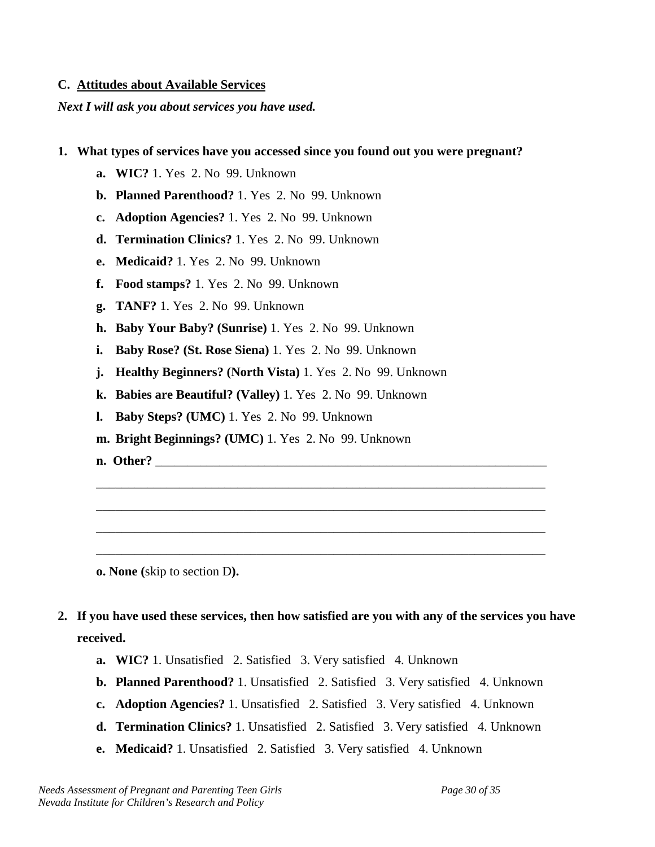#### **C. Attitudes about Available Services**

*Next I will ask you about services you have used.* 

#### **1. What types of services have you accessed since you found out you were pregnant?**

- **a. WIC?** 1. Yes 2. No 99. Unknown
- **b. Planned Parenthood?** 1. Yes 2. No 99. Unknown
- **c. Adoption Agencies?** 1. Yes 2. No 99. Unknown
- **d. Termination Clinics?** 1. Yes 2. No 99. Unknown
- **e. Medicaid?** 1. Yes 2. No 99. Unknown
- **f. Food stamps?** 1. Yes 2. No 99. Unknown
- **g. TANF?** 1. Yes 2. No 99. Unknown
- **h. Baby Your Baby? (Sunrise)** 1. Yes 2. No 99. Unknown
- **i. Baby Rose? (St. Rose Siena)** 1. Yes 2. No 99. Unknown
- **j. Healthy Beginners? (North Vista)** 1. Yes 2. No 99. Unknown
- **k. Babies are Beautiful? (Valley)** 1. Yes 2. No 99. Unknown
- **l. Baby Steps? (UMC)** 1. Yes 2. No 99. Unknown
- **m. Bright Beginnings? (UMC)** 1. Yes 2. No 99. Unknown
- **n. Other?** \_\_\_\_\_\_\_\_\_\_\_\_\_\_\_\_\_\_\_\_\_\_\_\_\_\_\_\_\_\_\_\_\_\_\_\_\_\_\_\_\_\_\_\_\_\_\_\_\_\_\_\_\_\_\_\_\_\_\_\_\_

**o. None (**skip to section D**).** 

**2. If you have used these services, then how satisfied are you with any of the services you have received.** 

\_\_\_\_\_\_\_\_\_\_\_\_\_\_\_\_\_\_\_\_\_\_\_\_\_\_\_\_\_\_\_\_\_\_\_\_\_\_\_\_\_\_\_\_\_\_\_\_\_\_\_\_\_\_\_\_\_\_\_\_\_\_\_\_\_\_\_\_\_\_

\_\_\_\_\_\_\_\_\_\_\_\_\_\_\_\_\_\_\_\_\_\_\_\_\_\_\_\_\_\_\_\_\_\_\_\_\_\_\_\_\_\_\_\_\_\_\_\_\_\_\_\_\_\_\_\_\_\_\_\_\_\_\_\_\_\_\_\_\_\_

\_\_\_\_\_\_\_\_\_\_\_\_\_\_\_\_\_\_\_\_\_\_\_\_\_\_\_\_\_\_\_\_\_\_\_\_\_\_\_\_\_\_\_\_\_\_\_\_\_\_\_\_\_\_\_\_\_\_\_\_\_\_\_\_\_\_\_\_\_\_

\_\_\_\_\_\_\_\_\_\_\_\_\_\_\_\_\_\_\_\_\_\_\_\_\_\_\_\_\_\_\_\_\_\_\_\_\_\_\_\_\_\_\_\_\_\_\_\_\_\_\_\_\_\_\_\_\_\_\_\_\_\_\_\_\_\_\_\_\_\_

- **a. WIC?** 1. Unsatisfied 2. Satisfied 3. Very satisfied 4. Unknown
- **b. Planned Parenthood?** 1. Unsatisfied 2. Satisfied 3. Very satisfied 4. Unknown
- **c. Adoption Agencies?** 1. Unsatisfied 2. Satisfied 3. Very satisfied 4. Unknown
- **d. Termination Clinics?** 1. Unsatisfied 2. Satisfied 3. Very satisfied 4. Unknown
- **e. Medicaid?** 1. Unsatisfied 2. Satisfied 3. Very satisfied 4. Unknown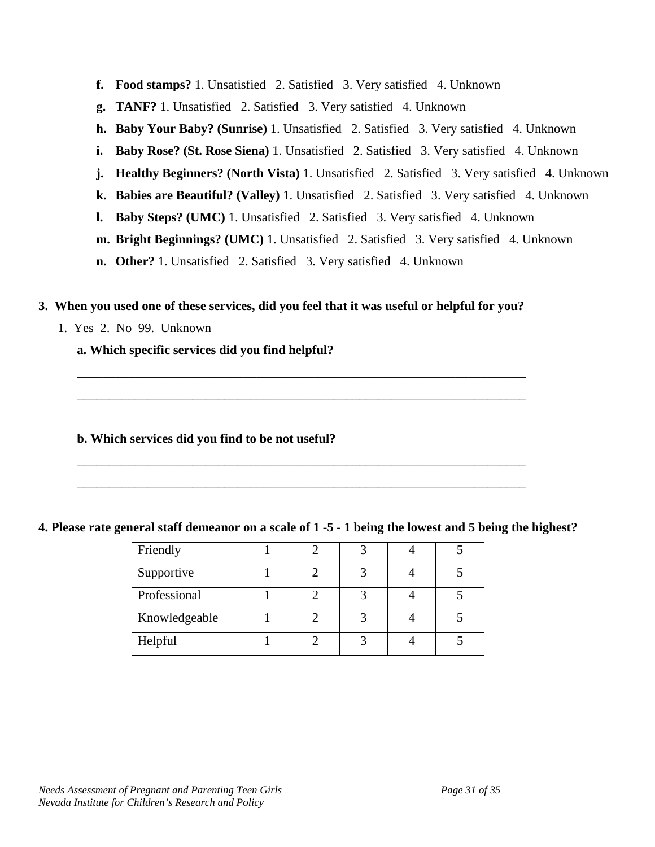- **f. Food stamps?** 1. Unsatisfied 2. Satisfied 3. Very satisfied 4. Unknown
- **g. TANF?** 1. Unsatisfied 2. Satisfied 3. Very satisfied 4. Unknown
- **h. Baby Your Baby? (Sunrise)** 1. Unsatisfied 2. Satisfied 3. Very satisfied 4. Unknown
- **i.** Baby Rose? (St. Rose Siena) 1. Unsatisfied 2. Satisfied 3. Very satisfied 4. Unknown
- **j. Healthy Beginners? (North Vista)** 1. Unsatisfied 2. Satisfied 3. Very satisfied 4. Unknown
- **k. Babies are Beautiful? (Valley)** 1. Unsatisfied 2. Satisfied 3. Very satisfied 4. Unknown
- **l. Baby Steps? (UMC)** 1. Unsatisfied 2. Satisfied 3. Very satisfied 4. Unknown
- **m. Bright Beginnings? (UMC)** 1. Unsatisfied 2. Satisfied 3. Very satisfied 4. Unknown
- **n. Other?** 1. Unsatisfied 2. Satisfied 3. Very satisfied 4. Unknown

#### **3. When you used one of these services, did you feel that it was useful or helpful for you?**

\_\_\_\_\_\_\_\_\_\_\_\_\_\_\_\_\_\_\_\_\_\_\_\_\_\_\_\_\_\_\_\_\_\_\_\_\_\_\_\_\_\_\_\_\_\_\_\_\_\_\_\_\_\_\_\_\_\_\_\_\_\_\_\_\_\_\_\_\_\_

\_\_\_\_\_\_\_\_\_\_\_\_\_\_\_\_\_\_\_\_\_\_\_\_\_\_\_\_\_\_\_\_\_\_\_\_\_\_\_\_\_\_\_\_\_\_\_\_\_\_\_\_\_\_\_\_\_\_\_\_\_\_\_\_\_\_\_\_\_\_

\_\_\_\_\_\_\_\_\_\_\_\_\_\_\_\_\_\_\_\_\_\_\_\_\_\_\_\_\_\_\_\_\_\_\_\_\_\_\_\_\_\_\_\_\_\_\_\_\_\_\_\_\_\_\_\_\_\_\_\_\_\_\_\_\_\_\_\_\_\_

\_\_\_\_\_\_\_\_\_\_\_\_\_\_\_\_\_\_\_\_\_\_\_\_\_\_\_\_\_\_\_\_\_\_\_\_\_\_\_\_\_\_\_\_\_\_\_\_\_\_\_\_\_\_\_\_\_\_\_\_\_\_\_\_\_\_\_\_\_\_

1. Yes 2. No 99. Unknown

#### **a. Which specific services did you find helpful?**

#### **b. Which services did you find to be not useful?**

#### **4. Please rate general staff demeanor on a scale of 1 -5 - 1 being the lowest and 5 being the highest?**

| Friendly      |  |  |  |
|---------------|--|--|--|
| Supportive    |  |  |  |
| Professional  |  |  |  |
| Knowledgeable |  |  |  |
| Helpful       |  |  |  |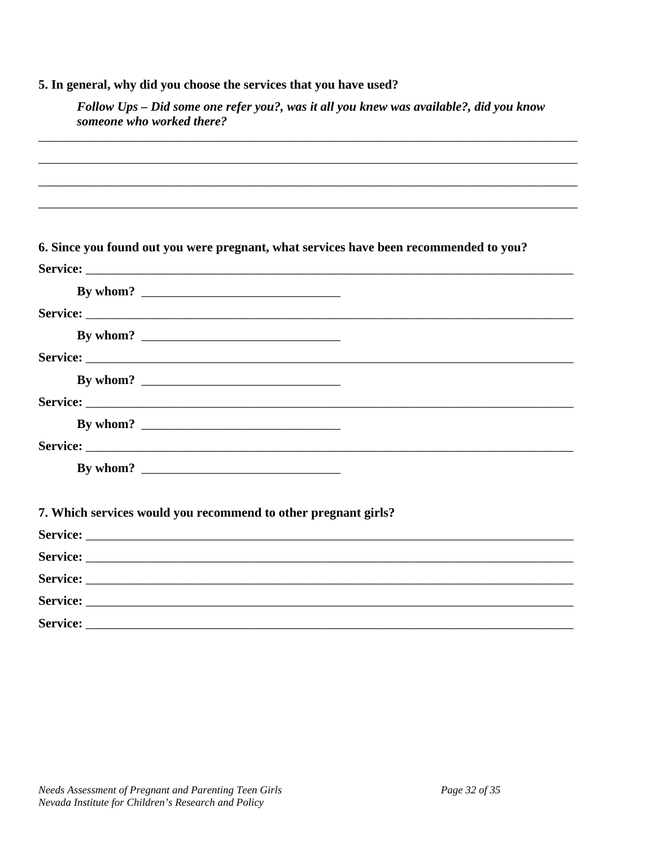# 5. In general, why did you choose the services that you have used?

| Follow Ups – Did some one refer you?, was it all you knew was available?, did you know |  |
|----------------------------------------------------------------------------------------|--|
| someone who worked there?                                                              |  |

| 6. Since you found out you were pregnant, what services have been recommended to you? |
|---------------------------------------------------------------------------------------|
|                                                                                       |
|                                                                                       |
|                                                                                       |
|                                                                                       |
|                                                                                       |
|                                                                                       |
|                                                                                       |
|                                                                                       |
|                                                                                       |
|                                                                                       |
|                                                                                       |
| 7. Which services would you recommend to other pregnant girls?                        |
|                                                                                       |
|                                                                                       |
|                                                                                       |
|                                                                                       |
| Service:                                                                              |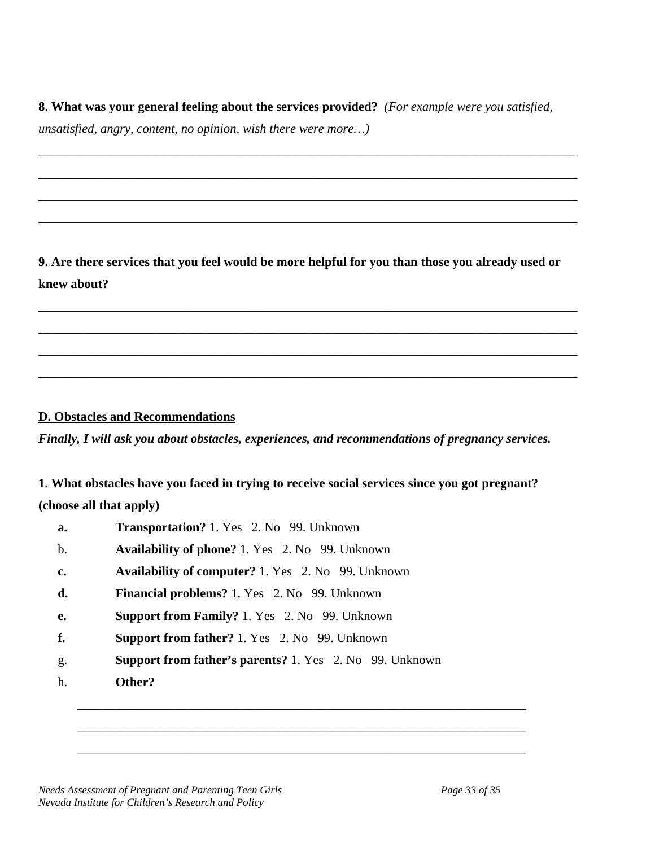**8. What was your general feeling about the services provided?** *(For example were you satisfied,* 

\_\_\_\_\_\_\_\_\_\_\_\_\_\_\_\_\_\_\_\_\_\_\_\_\_\_\_\_\_\_\_\_\_\_\_\_\_\_\_\_\_\_\_\_\_\_\_\_\_\_\_\_\_\_\_\_\_\_\_\_\_\_\_\_\_\_\_\_\_\_\_\_\_\_\_\_\_\_\_\_\_\_\_\_

\_\_\_\_\_\_\_\_\_\_\_\_\_\_\_\_\_\_\_\_\_\_\_\_\_\_\_\_\_\_\_\_\_\_\_\_\_\_\_\_\_\_\_\_\_\_\_\_\_\_\_\_\_\_\_\_\_\_\_\_\_\_\_\_\_\_\_\_\_\_\_\_\_\_\_\_\_\_\_\_\_\_\_\_

\_\_\_\_\_\_\_\_\_\_\_\_\_\_\_\_\_\_\_\_\_\_\_\_\_\_\_\_\_\_\_\_\_\_\_\_\_\_\_\_\_\_\_\_\_\_\_\_\_\_\_\_\_\_\_\_\_\_\_\_\_\_\_\_\_\_\_\_\_\_\_\_\_\_\_\_\_\_\_\_\_\_\_\_

\_\_\_\_\_\_\_\_\_\_\_\_\_\_\_\_\_\_\_\_\_\_\_\_\_\_\_\_\_\_\_\_\_\_\_\_\_\_\_\_\_\_\_\_\_\_\_\_\_\_\_\_\_\_\_\_\_\_\_\_\_\_\_\_\_\_\_\_\_\_\_\_\_\_\_\_\_\_\_\_\_\_\_\_

*unsatisfied, angry, content, no opinion, wish there were more…)* 

**9. Are there services that you feel would be more helpful for you than those you already used or knew about?** 

\_\_\_\_\_\_\_\_\_\_\_\_\_\_\_\_\_\_\_\_\_\_\_\_\_\_\_\_\_\_\_\_\_\_\_\_\_\_\_\_\_\_\_\_\_\_\_\_\_\_\_\_\_\_\_\_\_\_\_\_\_\_\_\_\_\_\_\_\_\_\_\_\_\_\_\_\_\_\_\_\_\_\_\_

\_\_\_\_\_\_\_\_\_\_\_\_\_\_\_\_\_\_\_\_\_\_\_\_\_\_\_\_\_\_\_\_\_\_\_\_\_\_\_\_\_\_\_\_\_\_\_\_\_\_\_\_\_\_\_\_\_\_\_\_\_\_\_\_\_\_\_\_\_\_\_\_\_\_\_\_\_\_\_\_\_\_\_\_

\_\_\_\_\_\_\_\_\_\_\_\_\_\_\_\_\_\_\_\_\_\_\_\_\_\_\_\_\_\_\_\_\_\_\_\_\_\_\_\_\_\_\_\_\_\_\_\_\_\_\_\_\_\_\_\_\_\_\_\_\_\_\_\_\_\_\_\_\_\_\_\_\_\_\_\_\_\_\_\_\_\_\_\_

\_\_\_\_\_\_\_\_\_\_\_\_\_\_\_\_\_\_\_\_\_\_\_\_\_\_\_\_\_\_\_\_\_\_\_\_\_\_\_\_\_\_\_\_\_\_\_\_\_\_\_\_\_\_\_\_\_\_\_\_\_\_\_\_\_\_\_\_\_\_\_\_\_\_\_\_\_\_\_\_\_\_\_\_

#### **D. Obstacles and Recommendations**

*Finally, I will ask you about obstacles, experiences, and recommendations of pregnancy services.* 

**1. What obstacles have you faced in trying to receive social services since you got pregnant? (choose all that apply)** 

| a. | <b>Transportation?</b> 1. Yes 2. No 99. Unknown                |
|----|----------------------------------------------------------------|
| b. | <b>Availability of phone?</b> 1. Yes 2. No 99. Unknown         |
| c. | <b>Availability of computer?</b> 1. Yes 2. No 99. Unknown      |
| d. | <b>Financial problems?</b> 1. Yes 2. No 99. Unknown            |
| e. | <b>Support from Family?</b> 1. Yes 2. No 99. Unknown           |
| f. | <b>Support from father?</b> 1. Yes 2. No 99. Unknown           |
| g. | <b>Support from father's parents?</b> 1. Yes 2. No 99. Unknown |
| h. | Other?                                                         |
|    |                                                                |

\_\_\_\_\_\_\_\_\_\_\_\_\_\_\_\_\_\_\_\_\_\_\_\_\_\_\_\_\_\_\_\_\_\_\_\_\_\_\_\_\_\_\_\_\_\_\_\_\_\_\_\_\_\_\_\_\_\_\_\_\_\_\_\_\_\_\_\_\_\_

\_\_\_\_\_\_\_\_\_\_\_\_\_\_\_\_\_\_\_\_\_\_\_\_\_\_\_\_\_\_\_\_\_\_\_\_\_\_\_\_\_\_\_\_\_\_\_\_\_\_\_\_\_\_\_\_\_\_\_\_\_\_\_\_\_\_\_\_\_\_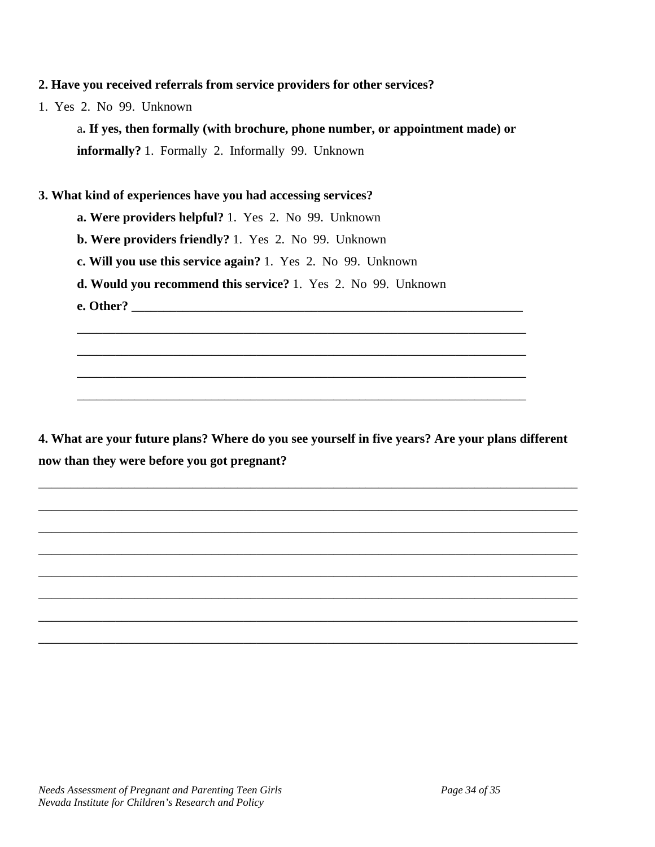#### **2. Have you received referrals from service providers for other services?**

1. Yes 2. No 99. Unknown

a**. If yes, then formally (with brochure, phone number, or appointment made) or informally?** 1. Formally 2. Informally 99. Unknown

#### **3. What kind of experiences have you had accessing services?**

- **a. Were providers helpful?** 1. Yes 2. No 99. Unknown
- **b. Were providers friendly?** 1. Yes 2. No 99. Unknown
- **c. Will you use this service again?** 1. Yes 2. No 99. Unknown
- **d. Would you recommend this service?** 1. Yes 2. No 99. Unknown
- **e. Other?** \_\_\_\_\_\_\_\_\_\_\_\_\_\_\_\_\_\_\_\_\_\_\_\_\_\_\_\_\_\_\_\_\_\_\_\_\_\_\_\_\_\_\_\_\_\_\_\_\_\_\_\_\_\_\_\_\_\_\_\_\_

**4. What are your future plans? Where do you see yourself in five years? Are your plans different now than they were before you got pregnant?** 

\_\_\_\_\_\_\_\_\_\_\_\_\_\_\_\_\_\_\_\_\_\_\_\_\_\_\_\_\_\_\_\_\_\_\_\_\_\_\_\_\_\_\_\_\_\_\_\_\_\_\_\_\_\_\_\_\_\_\_\_\_\_\_\_\_\_\_\_\_\_\_\_\_\_\_\_\_\_\_\_\_\_\_\_

\_\_\_\_\_\_\_\_\_\_\_\_\_\_\_\_\_\_\_\_\_\_\_\_\_\_\_\_\_\_\_\_\_\_\_\_\_\_\_\_\_\_\_\_\_\_\_\_\_\_\_\_\_\_\_\_\_\_\_\_\_\_\_\_\_\_\_\_\_\_\_\_\_\_\_\_\_\_\_\_\_\_\_\_

\_\_\_\_\_\_\_\_\_\_\_\_\_\_\_\_\_\_\_\_\_\_\_\_\_\_\_\_\_\_\_\_\_\_\_\_\_\_\_\_\_\_\_\_\_\_\_\_\_\_\_\_\_\_\_\_\_\_\_\_\_\_\_\_\_\_\_\_\_\_\_\_\_\_\_\_\_\_\_\_\_\_\_\_

\_\_\_\_\_\_\_\_\_\_\_\_\_\_\_\_\_\_\_\_\_\_\_\_\_\_\_\_\_\_\_\_\_\_\_\_\_\_\_\_\_\_\_\_\_\_\_\_\_\_\_\_\_\_\_\_\_\_\_\_\_\_\_\_\_\_\_\_\_\_\_\_\_\_\_\_\_\_\_\_\_\_\_\_

\_\_\_\_\_\_\_\_\_\_\_\_\_\_\_\_\_\_\_\_\_\_\_\_\_\_\_\_\_\_\_\_\_\_\_\_\_\_\_\_\_\_\_\_\_\_\_\_\_\_\_\_\_\_\_\_\_\_\_\_\_\_\_\_\_\_\_\_\_\_\_\_\_\_\_\_\_\_\_\_\_\_\_\_

\_\_\_\_\_\_\_\_\_\_\_\_\_\_\_\_\_\_\_\_\_\_\_\_\_\_\_\_\_\_\_\_\_\_\_\_\_\_\_\_\_\_\_\_\_\_\_\_\_\_\_\_\_\_\_\_\_\_\_\_\_\_\_\_\_\_\_\_\_\_\_\_\_\_\_\_\_\_\_\_\_\_\_\_

\_\_\_\_\_\_\_\_\_\_\_\_\_\_\_\_\_\_\_\_\_\_\_\_\_\_\_\_\_\_\_\_\_\_\_\_\_\_\_\_\_\_\_\_\_\_\_\_\_\_\_\_\_\_\_\_\_\_\_\_\_\_\_\_\_\_\_\_\_\_\_\_\_\_\_\_\_\_\_\_\_\_\_\_

\_\_\_\_\_\_\_\_\_\_\_\_\_\_\_\_\_\_\_\_\_\_\_\_\_\_\_\_\_\_\_\_\_\_\_\_\_\_\_\_\_\_\_\_\_\_\_\_\_\_\_\_\_\_\_\_\_\_\_\_\_\_\_\_\_\_\_\_\_\_\_\_\_\_\_\_\_\_\_\_\_\_\_\_

\_\_\_\_\_\_\_\_\_\_\_\_\_\_\_\_\_\_\_\_\_\_\_\_\_\_\_\_\_\_\_\_\_\_\_\_\_\_\_\_\_\_\_\_\_\_\_\_\_\_\_\_\_\_\_\_\_\_\_\_\_\_\_\_\_\_\_\_\_\_

\_\_\_\_\_\_\_\_\_\_\_\_\_\_\_\_\_\_\_\_\_\_\_\_\_\_\_\_\_\_\_\_\_\_\_\_\_\_\_\_\_\_\_\_\_\_\_\_\_\_\_\_\_\_\_\_\_\_\_\_\_\_\_\_\_\_\_\_\_\_

\_\_\_\_\_\_\_\_\_\_\_\_\_\_\_\_\_\_\_\_\_\_\_\_\_\_\_\_\_\_\_\_\_\_\_\_\_\_\_\_\_\_\_\_\_\_\_\_\_\_\_\_\_\_\_\_\_\_\_\_\_\_\_\_\_\_\_\_\_\_

\_\_\_\_\_\_\_\_\_\_\_\_\_\_\_\_\_\_\_\_\_\_\_\_\_\_\_\_\_\_\_\_\_\_\_\_\_\_\_\_\_\_\_\_\_\_\_\_\_\_\_\_\_\_\_\_\_\_\_\_\_\_\_\_\_\_\_\_\_\_